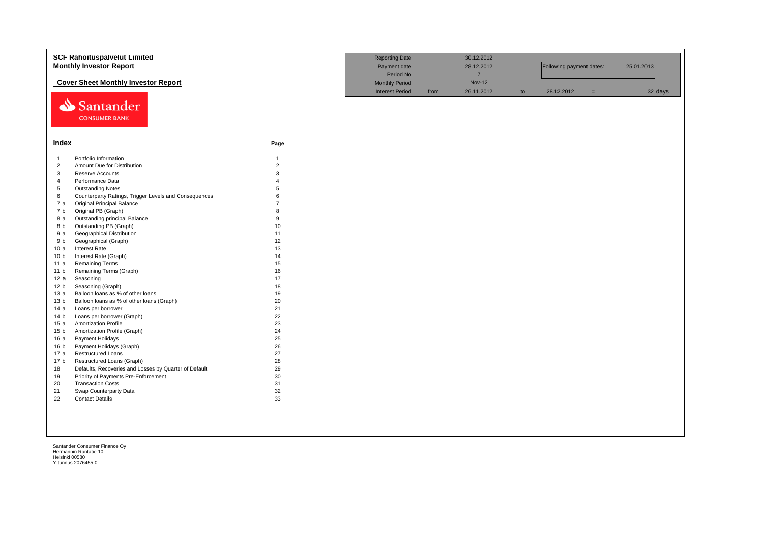|                 | <b>SCF Rahoituspalvelut Limited</b><br><b>Monthly Investor Report</b> | <b>Reporting Date</b><br>Payment date<br>Period No |      | 30.12.2012<br>28.12.2012<br>$\overline{7}$ |    | Following payment dates: |     | 25.01.2013 |  |
|-----------------|-----------------------------------------------------------------------|----------------------------------------------------|------|--------------------------------------------|----|--------------------------|-----|------------|--|
|                 | <b>Cover Sheet Monthly Investor Report</b>                            | <b>Monthly Period</b><br><b>Interest Period</b>    | from | <b>Nov-12</b><br>26.11.2012                | to | 28.12.2012               | $=$ | 32 days    |  |
| ⇘               | Santander<br><b>CONSUMER BANK</b>                                     |                                                    |      |                                            |    |                          |     |            |  |
| Index           |                                                                       | Page                                               |      |                                            |    |                          |     |            |  |
| $\mathbf{1}$    | Portfolio Information                                                 | $\mathbf{1}$                                       |      |                                            |    |                          |     |            |  |
| $\overline{2}$  | Amount Due for Distribution                                           | $\overline{2}$                                     |      |                                            |    |                          |     |            |  |
| 3               | Reserve Accounts                                                      | $\mathbf{3}$                                       |      |                                            |    |                          |     |            |  |
| $\overline{4}$  | Performance Data                                                      | $\Delta$                                           |      |                                            |    |                          |     |            |  |
| $\sqrt{5}$      | <b>Outstanding Notes</b>                                              | 5                                                  |      |                                            |    |                          |     |            |  |
| 6               | Counterparty Ratings, Trigger Levels and Consequences                 | 6                                                  |      |                                            |    |                          |     |            |  |
| 7 a             | <b>Original Principal Balance</b>                                     | $\overline{7}$                                     |      |                                            |    |                          |     |            |  |
| 7 b             | Original PB (Graph)                                                   | $\mathsf{R}$                                       |      |                                            |    |                          |     |            |  |
| 8 a             | Outstanding principal Balance                                         | 9                                                  |      |                                            |    |                          |     |            |  |
| 8 b             | Outstanding PB (Graph)                                                | 10                                                 |      |                                            |    |                          |     |            |  |
| 9 a             | Geographical Distribution                                             | 11                                                 |      |                                            |    |                          |     |            |  |
| 9 b             | Geographical (Graph)                                                  | 12                                                 |      |                                            |    |                          |     |            |  |
| 10a             | Interest Rate                                                         | 13                                                 |      |                                            |    |                          |     |            |  |
| 10 <sub>b</sub> | Interest Rate (Graph)                                                 | 14                                                 |      |                                            |    |                          |     |            |  |
| 11 a            | <b>Remaining Terms</b>                                                | 15                                                 |      |                                            |    |                          |     |            |  |
| 11 <sub>b</sub> | Remaining Terms (Graph)                                               | 16                                                 |      |                                            |    |                          |     |            |  |
| 12a             | Seasoning                                                             | 17                                                 |      |                                            |    |                          |     |            |  |
| 12 <sub>b</sub> | Seasoning (Graph)                                                     | 18                                                 |      |                                            |    |                          |     |            |  |
| 13a             | Balloon loans as % of other loans                                     | 19                                                 |      |                                            |    |                          |     |            |  |
| 13 <sub>b</sub> | Balloon loans as % of other loans (Graph)                             | 20                                                 |      |                                            |    |                          |     |            |  |
| 14a             | Loans per borrower                                                    | 21                                                 |      |                                            |    |                          |     |            |  |
| 14 <sub>b</sub> | Loans per borrower (Graph)                                            | 22                                                 |      |                                            |    |                          |     |            |  |
| 15a             | <b>Amortization Profile</b>                                           | 23                                                 |      |                                            |    |                          |     |            |  |
| 15 <sub>b</sub> | Amortization Profile (Graph)                                          | 24                                                 |      |                                            |    |                          |     |            |  |
| 16a             | Payment Holidays                                                      | 25                                                 |      |                                            |    |                          |     |            |  |
| 16 <sub>b</sub> | Payment Holidays (Graph)                                              | 26                                                 |      |                                            |    |                          |     |            |  |
| 17 a            | <b>Restructured Loans</b>                                             | 27                                                 |      |                                            |    |                          |     |            |  |
| 17 <sub>b</sub> | Restructured Loans (Graph)                                            | 28                                                 |      |                                            |    |                          |     |            |  |
| 18              | Defaults, Recoveries and Losses by Quarter of Default                 | 29                                                 |      |                                            |    |                          |     |            |  |
| 19              | Priority of Payments Pre-Enforcement                                  | 30                                                 |      |                                            |    |                          |     |            |  |
| 20              | <b>Transaction Costs</b>                                              | 31                                                 |      |                                            |    |                          |     |            |  |
| 21              | Swap Counterparty Data                                                | 32                                                 |      |                                            |    |                          |     |            |  |
| 22              | <b>Contact Details</b>                                                | 33                                                 |      |                                            |    |                          |     |            |  |
|                 |                                                                       |                                                    |      |                                            |    |                          |     |            |  |
|                 |                                                                       |                                                    |      |                                            |    |                          |     |            |  |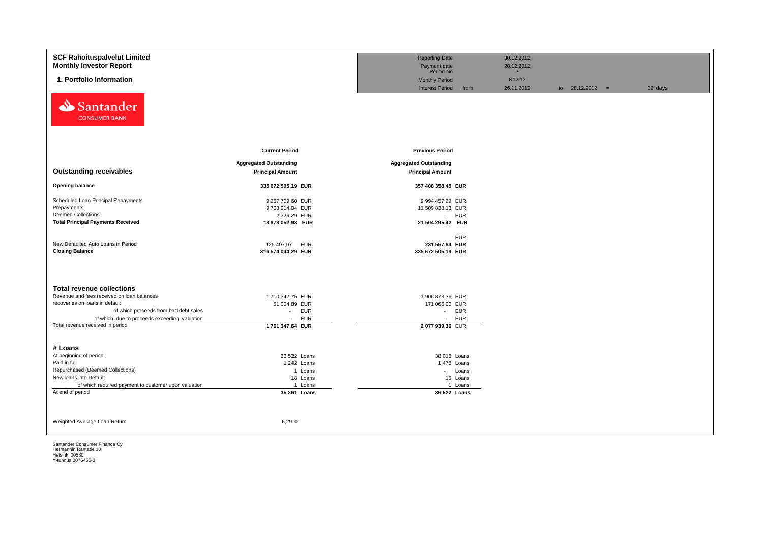| <b>SCF Rahoituspalvelut Limited</b>                                   |                               | <b>Reporting Date</b>         |            | 30.12.2012    |                   |         |  |
|-----------------------------------------------------------------------|-------------------------------|-------------------------------|------------|---------------|-------------------|---------|--|
| <b>Monthly Investor Report</b>                                        |                               | Payment date                  |            | 28.12.2012    |                   |         |  |
|                                                                       |                               | Period No                     |            | $7^{\circ}$   |                   |         |  |
| 1. Portfolio Information                                              |                               | <b>Monthly Period</b>         |            | <b>Nov-12</b> |                   |         |  |
|                                                                       |                               | <b>Interest Period</b>        | from       | 26.11.2012    | to $28.12.2012 =$ | 32 days |  |
| Santander<br>⇘                                                        |                               |                               |            |               |                   |         |  |
| <b>CONSUMER BANK</b>                                                  |                               |                               |            |               |                   |         |  |
|                                                                       |                               |                               |            |               |                   |         |  |
|                                                                       |                               |                               |            |               |                   |         |  |
|                                                                       | <b>Current Period</b>         | <b>Previous Period</b>        |            |               |                   |         |  |
|                                                                       | <b>Aggregated Outstanding</b> | <b>Aggregated Outstanding</b> |            |               |                   |         |  |
| <b>Outstanding receivables</b>                                        | <b>Principal Amount</b>       | <b>Principal Amount</b>       |            |               |                   |         |  |
|                                                                       |                               |                               |            |               |                   |         |  |
| <b>Opening balance</b>                                                | 335 672 505,19 EUR            | 357 408 358,45 EUR            |            |               |                   |         |  |
|                                                                       |                               |                               |            |               |                   |         |  |
| Scheduled Loan Principal Repayments                                   | 9 267 709,60 EUR              | 9 994 457,29 EUR              |            |               |                   |         |  |
| Prepayments                                                           | 9 703 014,04 EUR              | 11 509 838,13 EUR             |            |               |                   |         |  |
| <b>Deemed Collections</b><br><b>Total Principal Payments Received</b> | 2 329,29 EUR                  | - EUR                         |            |               |                   |         |  |
|                                                                       | 18 973 052,93 EUR             | 21 504 295,42 EUR             |            |               |                   |         |  |
|                                                                       |                               |                               | <b>EUR</b> |               |                   |         |  |
| New Defaulted Auto Loans in Period                                    | 125 407,97<br><b>EUR</b>      | 231 557,84 EUR                |            |               |                   |         |  |
| <b>Closing Balance</b>                                                | 316 574 044,29 EUR            | 335 672 505,19 EUR            |            |               |                   |         |  |
|                                                                       |                               |                               |            |               |                   |         |  |
|                                                                       |                               |                               |            |               |                   |         |  |
|                                                                       |                               |                               |            |               |                   |         |  |
| <b>Total revenue collections</b>                                      |                               |                               |            |               |                   |         |  |
| Revenue and fees received on loan balances                            | 1710 342,75 EUR               | 1 906 873,36 EUR              |            |               |                   |         |  |
| recoveries on loans in default                                        | 51 004,89 EUR                 | 171 066,00 EUR                |            |               |                   |         |  |
| of which proceeds from bad debt sales                                 | <b>EUR</b><br>$\sim$          | - EUR                         |            |               |                   |         |  |
| of which due to proceeds exceeding valuation                          | <b>EUR</b><br>$\sim$          | $\sim 100$                    | <b>EUR</b> |               |                   |         |  |
| Total revenue received in period                                      | 1761 347,64 EUR               | 2077939,36 EUR                |            |               |                   |         |  |
|                                                                       |                               |                               |            |               |                   |         |  |
|                                                                       |                               |                               |            |               |                   |         |  |
| # Loans                                                               |                               |                               |            |               |                   |         |  |
| At beginning of period                                                | 36 522 Loans                  | 38 015 Loans                  |            |               |                   |         |  |
| Paid in full                                                          | 1 242 Loans                   | 1 478 Loans                   |            |               |                   |         |  |
| Repurchased (Deemed Collections)                                      | 1 Loans                       |                               | - Loans    |               |                   |         |  |
| New loans into Default                                                | 18 Loans                      |                               | 15 Loans   |               |                   |         |  |
| of which required payment to customer upon valuation                  | 1 Loans                       |                               | 1 Loans    |               |                   |         |  |
| At end of period                                                      | 35 261 Loans                  | 36 522 Loans                  |            |               |                   |         |  |
|                                                                       |                               |                               |            |               |                   |         |  |
|                                                                       |                               |                               |            |               |                   |         |  |
| Weighted Average Loan Return                                          | 6,29%                         |                               |            |               |                   |         |  |
|                                                                       |                               |                               |            |               |                   |         |  |
|                                                                       |                               |                               |            |               |                   |         |  |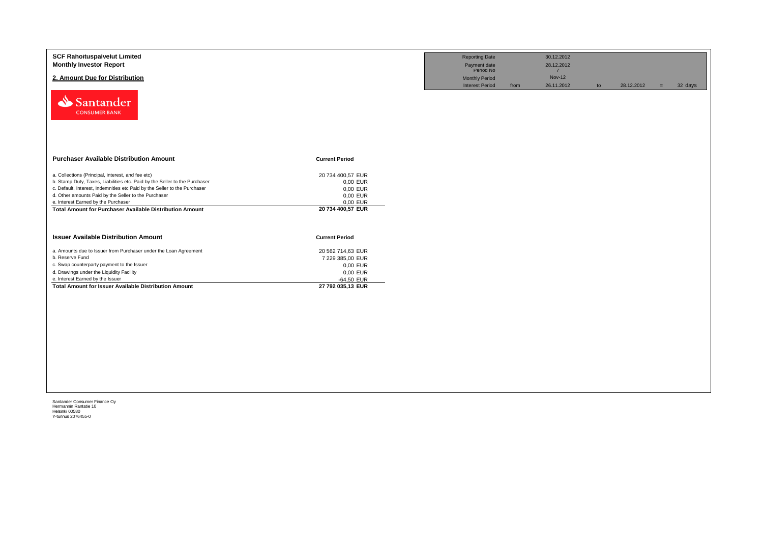| <b>SCF Rahoituspalvelut Limited</b><br><b>Monthly Investor Report</b><br>2. Amount Due for Distribution<br>Santander<br><b>CONSUMER BANK</b>                                                                                                                                                                                                                                   |                                                                                                    | <b>Reporting Date</b><br>Payment date<br>Period No<br><b>Monthly Period</b><br><b>Interest Period</b> | from | 30.12.2012<br>28.12.2012<br>$\overline{7}$<br><b>Nov-12</b><br>26.11.2012 | to | 28.12.2012 | $=$ | 32 days |
|--------------------------------------------------------------------------------------------------------------------------------------------------------------------------------------------------------------------------------------------------------------------------------------------------------------------------------------------------------------------------------|----------------------------------------------------------------------------------------------------|-------------------------------------------------------------------------------------------------------|------|---------------------------------------------------------------------------|----|------------|-----|---------|
| <b>Purchaser Available Distribution Amount</b>                                                                                                                                                                                                                                                                                                                                 | <b>Current Period</b>                                                                              |                                                                                                       |      |                                                                           |    |            |     |         |
| a. Collections (Principal, interest, and fee etc)<br>b. Stamp Duty, Taxes, Liabilities etc. Paid by the Seller to the Purchaser<br>c. Default, Interest, Indemnities etc Paid by the Seller to the Purchaser<br>d. Other amounts Paid by the Seller to the Purchaser<br>e. Interest Earned by the Purchaser<br><b>Total Amount for Purchaser Available Distribution Amount</b> | 20 734 400,57 EUR<br>0,00 EUR<br>0,00 EUR<br>0,00 EUR<br>0,00 EUR<br>20 734 400,57 EUR             |                                                                                                       |      |                                                                           |    |            |     |         |
| <b>Issuer Available Distribution Amount</b>                                                                                                                                                                                                                                                                                                                                    | <b>Current Period</b>                                                                              |                                                                                                       |      |                                                                           |    |            |     |         |
| a. Amounts due to Issuer from Purchaser under the Loan Agreement<br>b. Reserve Fund<br>c. Swap counterparty payment to the Issuer<br>d. Drawings under the Liquidity Facility<br>e. Interest Earned by the Issuer<br><b>Total Amount for Issuer Available Distribution Amount</b>                                                                                              | 20 562 714,63 EUR<br>7 229 385,00 EUR<br>0,00 EUR<br>0,00 EUR<br>$-64,50$ EUR<br>27 792 035,13 EUR |                                                                                                       |      |                                                                           |    |            |     |         |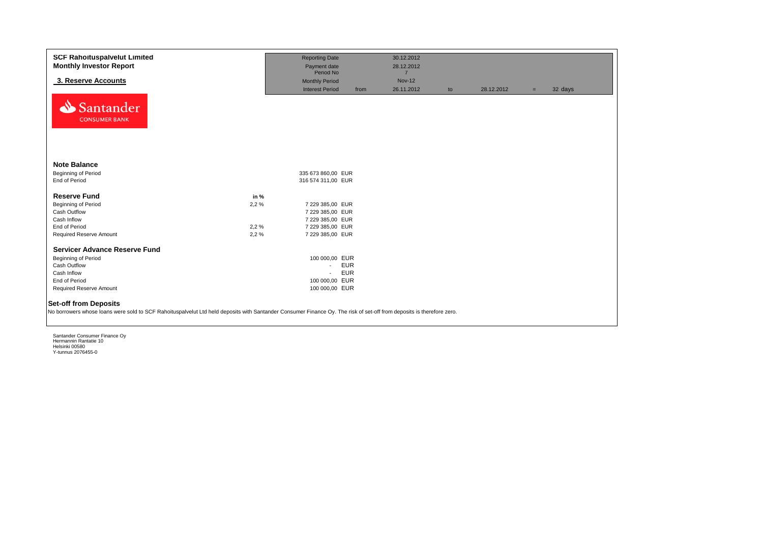| <b>SCF Rahoituspalvelut Limited</b>                                                                                                                                                                   |      | <b>Reporting Date</b>     |            | 30.12.2012                   |    |            |     |         |
|-------------------------------------------------------------------------------------------------------------------------------------------------------------------------------------------------------|------|---------------------------|------------|------------------------------|----|------------|-----|---------|
| <b>Monthly Investor Report</b>                                                                                                                                                                        |      | Payment date<br>Period No |            | 28.12.2012<br>$\overline{7}$ |    |            |     |         |
| 3. Reserve Accounts                                                                                                                                                                                   |      | <b>Monthly Period</b>     |            | <b>Nov-12</b>                |    |            |     |         |
|                                                                                                                                                                                                       |      | <b>Interest Period</b>    | from       | 26.11.2012                   | to | 28.12.2012 | $=$ | 32 days |
| Santander<br><b>CONSUMER BANK</b>                                                                                                                                                                     |      |                           |            |                              |    |            |     |         |
| <b>Note Balance</b>                                                                                                                                                                                   |      |                           |            |                              |    |            |     |         |
| Beginning of Period                                                                                                                                                                                   |      | 335 673 860,00 EUR        |            |                              |    |            |     |         |
| End of Period                                                                                                                                                                                         |      | 316 574 311,00 EUR        |            |                              |    |            |     |         |
| <b>Reserve Fund</b>                                                                                                                                                                                   | in % |                           |            |                              |    |            |     |         |
| Beginning of Period                                                                                                                                                                                   | 2,2% | 7 229 385,00 EUR          |            |                              |    |            |     |         |
| Cash Outflow                                                                                                                                                                                          |      | 7 229 385,00 EUR          |            |                              |    |            |     |         |
| Cash Inflow                                                                                                                                                                                           |      | 7 229 385,00 EUR          |            |                              |    |            |     |         |
| End of Period                                                                                                                                                                                         | 2,2% | 7 229 385,00 EUR          |            |                              |    |            |     |         |
| Required Reserve Amount                                                                                                                                                                               | 2,2% | 7 229 385,00 EUR          |            |                              |    |            |     |         |
| <b>Servicer Advance Reserve Fund</b>                                                                                                                                                                  |      |                           |            |                              |    |            |     |         |
| Beginning of Period                                                                                                                                                                                   |      | 100 000,00 EUR            |            |                              |    |            |     |         |
| Cash Outflow                                                                                                                                                                                          |      | $\sim$                    | <b>EUR</b> |                              |    |            |     |         |
| Cash Inflow                                                                                                                                                                                           |      | $\sim$                    | <b>EUR</b> |                              |    |            |     |         |
| End of Period                                                                                                                                                                                         |      | 100 000,00 EUR            |            |                              |    |            |     |         |
| Required Reserve Amount                                                                                                                                                                               |      | 100 000,00 EUR            |            |                              |    |            |     |         |
| <b>Set-off from Deposits</b><br>No borrowers whose loans were sold to SCF Rahoituspalvelut Ltd held deposits with Santander Consumer Finance Oy. The risk of set-off from deposits is therefore zero. |      |                           |            |                              |    |            |     |         |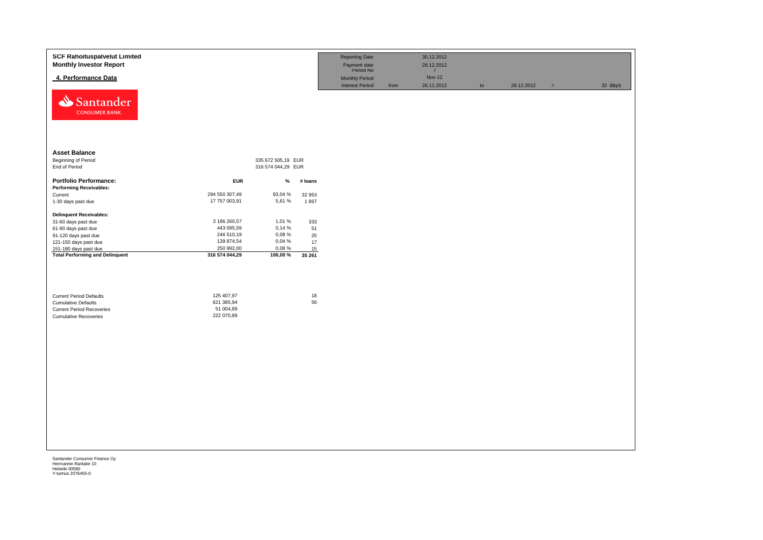| <b>SCF Rahoituspalvelut Limited</b><br><b>Monthly Investor Report</b>                                                            |                                                     |                    |              | <b>Reporting Date</b><br>Payment date<br>Period No |      | 30.12.2012<br>28.12.2012<br>$\overline{7}$ |    |            |          |         |
|----------------------------------------------------------------------------------------------------------------------------------|-----------------------------------------------------|--------------------|--------------|----------------------------------------------------|------|--------------------------------------------|----|------------|----------|---------|
| 4. Performance Data                                                                                                              |                                                     |                    |              | Monthly Period                                     |      | <b>Nov-12</b>                              |    |            |          |         |
| Santander<br><b>CONSUMER BANK</b>                                                                                                |                                                     |                    |              | <b>Interest Period</b>                             | from | 26.11.2012                                 | to | 28.12.2012 | $\equiv$ | 32 days |
| <b>Asset Balance</b>                                                                                                             |                                                     |                    |              |                                                    |      |                                            |    |            |          |         |
| Beginning of Period                                                                                                              |                                                     | 335 672 505,19 EUR |              |                                                    |      |                                            |    |            |          |         |
| End of Period                                                                                                                    |                                                     | 316 574 044,29 EUR |              |                                                    |      |                                            |    |            |          |         |
| <b>Portfolio Performance:</b>                                                                                                    | <b>EUR</b>                                          | %                  | # loans      |                                                    |      |                                            |    |            |          |         |
| <b>Performing Receivables:</b>                                                                                                   |                                                     |                    |              |                                                    |      |                                            |    |            |          |         |
| Current                                                                                                                          | 294 550 307,49                                      | 93,04 %            | 32 953       |                                                    |      |                                            |    |            |          |         |
| 1-30 days past due                                                                                                               | 17 757 003,91                                       | 5,61 %             | 1867         |                                                    |      |                                            |    |            |          |         |
| <b>Delinquent Receivables:</b>                                                                                                   |                                                     |                    |              |                                                    |      |                                            |    |            |          |         |
| 31-60 days past due                                                                                                              | 3 186 260,57                                        | 1,01 %             | 333          |                                                    |      |                                            |    |            |          |         |
| 61-90 days past due                                                                                                              | 443 095,59                                          | 0,14%              | 51           |                                                    |      |                                            |    |            |          |         |
| 91-120 days past due                                                                                                             | 246 510,19                                          | 0,08%              | 25           |                                                    |      |                                            |    |            |          |         |
| 121-150 days past due                                                                                                            | 139 874,54                                          | 0,04 %             | $17\,$       |                                                    |      |                                            |    |            |          |         |
| 151-180 days past due                                                                                                            | 250 992,00                                          | 0,08%              | 15           |                                                    |      |                                            |    |            |          |         |
| <b>Total Performing and Delinquent</b>                                                                                           | 316 574 044,29                                      | 100,00 %           | 35 261       |                                                    |      |                                            |    |            |          |         |
| <b>Current Period Defaults</b><br><b>Cumulative Defaults</b><br><b>Current Period Recoveries</b><br><b>Cumulative Recoveries</b> | 125 407,97<br>621 385,94<br>51 004,89<br>222 070,89 |                    | $18\,$<br>56 |                                                    |      |                                            |    |            |          |         |
|                                                                                                                                  |                                                     |                    |              |                                                    |      |                                            |    |            |          |         |
|                                                                                                                                  |                                                     |                    |              |                                                    |      |                                            |    |            |          |         |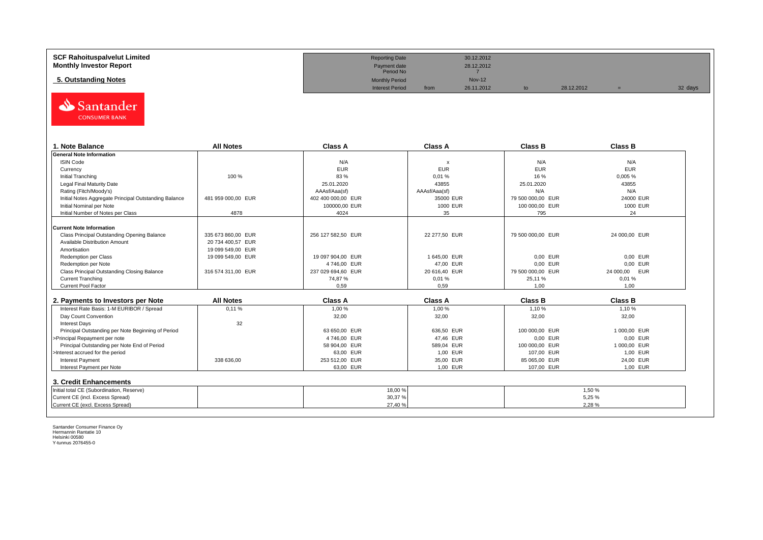| <b>SCF Rahoituspalvelut Limited</b> | <b>Reporting Date</b>     |      | 30.12.2012    |            |         |
|-------------------------------------|---------------------------|------|---------------|------------|---------|
| <b>Monthly Investor Report</b>      | Payment date<br>Period No |      | 28.12.2012    |            |         |
| 5. Outstanding Notes                | <b>Monthly Period</b>     |      | <b>Nov-12</b> |            |         |
|                                     | <b>Interest Period</b>    | from | 26.11.2012    | 28.12.2012 | 32 days |



| 1. Note Balance                                       | <b>All Notes</b>   | <b>Class A</b>     | <b>Class A</b>            | <b>Class B</b>    | <b>Class B</b> |
|-------------------------------------------------------|--------------------|--------------------|---------------------------|-------------------|----------------|
| <b>General Note Information</b>                       |                    |                    |                           |                   |                |
| <b>ISIN Code</b>                                      |                    | N/A                | $\boldsymbol{\mathsf{x}}$ | N/A               | N/A            |
| Currency                                              |                    | <b>EUR</b>         | <b>EUR</b>                | <b>EUR</b>        | <b>EUR</b>     |
| Initial Tranching                                     | 100 %              | 83 %               | 0,01%                     | 16 %              | 0,005%         |
| Legal Final Maturity Date                             |                    | 25.01.2020         | 43855                     | 25.01.2020        | 43855          |
| Rating (Fitch/Moody's)                                |                    | AAAsf/Aaa(sf)      | AAAsf/Aaa(sf)             | N/A               | N/A            |
| Initial Notes Aggregate Principal Outstanding Balance | 481 959 000.00 EUR | 402 400 000.00 EUR | 35000 EUR                 | 79 500 000.00 EUR | 24000 EUR      |
| Initial Nominal per Note                              |                    | 100000,00 EUR      | 1000 EUR                  | 100 000,00 EUR    | 1000 EUR       |
| Initial Number of Notes per Class                     | 4878               | 4024               | 35                        | 795               | 24             |
|                                                       |                    |                    |                           |                   |                |
| Current Note Information                              |                    |                    |                           |                   |                |
| Class Principal Outstanding Opening Balance           | 335 673 860.00 EUR | 256 127 582,50 EUR | 22 277,50 EUR             | 79 500 000.00 EUR | 24 000,00 EUR  |
| Available Distribution Amount                         | 20 734 400.57 EUR  |                    |                           |                   |                |
| Amortisation                                          | 19 099 549.00 EUR  |                    |                           |                   |                |
| Redemption per Class                                  | 19 099 549,00 EUR  | 19 097 904,00 EUR  | 1 645,00 EUR              | 0.00 EUR          | 0.00 EUR       |
| Redemption per Note                                   |                    | 4746,00 EUR        | 47,00 EUR                 | 0.00 EUR          | 0.00 EUR       |
| Class Principal Outstanding Closing Balance           | 316 574 311,00 EUR | 237 029 694,60 EUR | 20 616,40 EUR             | 79 500 000,00 EUR | 24 000,00 EUR  |
| <b>Current Tranching</b>                              |                    | 74.87%             | 0,01%                     | 25,11 %           | 0.01%          |
| Current Pool Factor                                   |                    | 0.59               | 0.59                      | 1.00              | 1,00           |

| 2. Payments to Investors per Note                  | <b>All Notes</b> | <b>Class A</b> | <b>Class A</b> | <b>Class B</b> | <b>Class B</b> |
|----------------------------------------------------|------------------|----------------|----------------|----------------|----------------|
| Interest Rate Basis: 1-M EURIBOR / Spread          | 0.11%            | 1.00 %         | 1,00 %         | 1.10%          | 1.10 %         |
| Day Count Convention                               |                  | 32,00          | 32,00          | 32,00          | 32,00          |
| <b>Interest Days</b>                               | 32               |                |                |                |                |
| Principal Outstanding per Note Beginning of Period |                  | 63 650.00 EUR  | 636.50 EUR     | 100 000,00 EUR | 1 000.00 EUR   |
| >Principal Repayment per note                      |                  | 4746.00 EUR    | 47.46 EUR      | 0,00 EUR       | 0.00 EUR       |
| Principal Outstanding per Note End of Period       |                  | 58 904.00 EUR  | 589.04 EUR     | 100 000,00 EUR | 1 000.00 EUR   |
| >Interest accrued for the period                   |                  | 63.00 EUR      | 1.00 EUR       | 107.00 EUR     | 1.00 EUR       |
| <b>Interest Payment</b>                            | 338 636.00       | 253 512.00 EUR | 35.00 EUR      | 85 065,00 EUR  | 24.00 EUR      |
| Interest Payment per Note                          |                  | 63,00 EUR      | 1,00 EUR       | 107,00 EUR     | 1,00 EUR       |
| 3. Credit Enhancements                             |                  |                |                |                |                |
| Initial total CE (Subordination, Reserve)          |                  |                | 18,00 %        |                | 1.50 %         |
| Current CE (incl. Excess Spread)                   |                  |                | 30,37%         |                | 5.25 %         |
| Current CE (excl. Excess Spread)                   |                  |                | 27,40 %        |                | 2.28%          |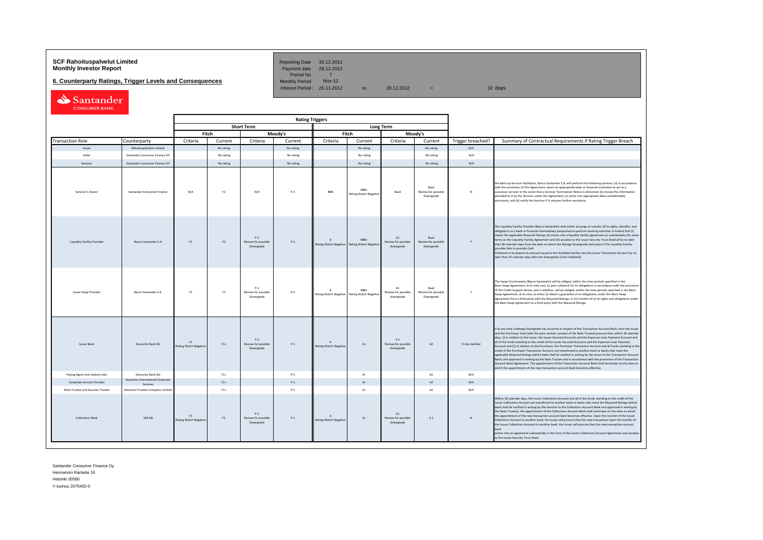## **SCF Rahoituspalvelut Limited Community Community Community Reporting Date 30.12.2012<br><b>Monthly Investor Report** Payment date 28.12.2012

**6. Counterparty Ratings, Trigger Levels and Consequences** 

Period No 7<br>Monthly Period Nov-12 Interest Period:  $26.11.2012$  to  $28.12.2012$  = 32 days

| Santander            |
|----------------------|
| <b>CONSUMER BANK</b> |

|                                    |                                              | <b>Rating Triggers</b>             |                |                                           |           |                                           |                                      |                                        |                                          |                   |                                                                                                                                                                                                                                                                                                                                                                                                                                                                                                                                                                                                                                                                                                                                                                                                                                                                                                                                                                                                                                                                                                      |
|------------------------------------|----------------------------------------------|------------------------------------|----------------|-------------------------------------------|-----------|-------------------------------------------|--------------------------------------|----------------------------------------|------------------------------------------|-------------------|------------------------------------------------------------------------------------------------------------------------------------------------------------------------------------------------------------------------------------------------------------------------------------------------------------------------------------------------------------------------------------------------------------------------------------------------------------------------------------------------------------------------------------------------------------------------------------------------------------------------------------------------------------------------------------------------------------------------------------------------------------------------------------------------------------------------------------------------------------------------------------------------------------------------------------------------------------------------------------------------------------------------------------------------------------------------------------------------------|
|                                    |                                              |                                    |                | <b>Short Term</b>                         |           |                                           |                                      | <b>Long Term</b>                       |                                          |                   |                                                                                                                                                                                                                                                                                                                                                                                                                                                                                                                                                                                                                                                                                                                                                                                                                                                                                                                                                                                                                                                                                                      |
| Fitch<br>Moody's                   |                                              |                                    |                |                                           |           |                                           | Fitch                                |                                        | Moody's                                  |                   |                                                                                                                                                                                                                                                                                                                                                                                                                                                                                                                                                                                                                                                                                                                                                                                                                                                                                                                                                                                                                                                                                                      |
| <b>Transaction Role</b>            | Counterparty                                 | Criteria                           | Current        | Criteria                                  | Current   | Criteria                                  | Current                              | Criteria                               | Current                                  | Trigger breached? | Summary of Contractual Requirements if Rating Trigger Breach                                                                                                                                                                                                                                                                                                                                                                                                                                                                                                                                                                                                                                                                                                                                                                                                                                                                                                                                                                                                                                         |
| Issuer                             | Rahoituspalvelut Limited                     |                                    | No rating      |                                           | No rating |                                           | No rating                            |                                        | No rating                                | N/A               |                                                                                                                                                                                                                                                                                                                                                                                                                                                                                                                                                                                                                                                                                                                                                                                                                                                                                                                                                                                                                                                                                                      |
| Seller                             | Santander Consumer Finance OY                |                                    | No rating      |                                           | No rating |                                           | No rating                            |                                        | No rating                                | N/A               |                                                                                                                                                                                                                                                                                                                                                                                                                                                                                                                                                                                                                                                                                                                                                                                                                                                                                                                                                                                                                                                                                                      |
| Servicer                           | Santander Consumer Finance OY                |                                    | No rating      |                                           | No rating |                                           | No rating                            |                                        | No rating                                | N/A               |                                                                                                                                                                                                                                                                                                                                                                                                                                                                                                                                                                                                                                                                                                                                                                                                                                                                                                                                                                                                                                                                                                      |
| Servicer's Owner                   | Santander Consumer Finance                   | N/A                                | F <sub>2</sub> | N/A                                       | $P-2$     | <b>RRR</b>                                | BBB+<br><b>Rating Watch Negative</b> | Baa3                                   | Raa2<br>Review for possible<br>Downgrade | N                 | the Back-up Servicer Facilitator, Banco Santander S.A, will perform the following services: (a) in accordance<br>with the provisions of this Agreement, select an appropriate bank or financial institution to act as a<br>successor servicer in the event that a Servicer Termination Notice is delivered; (b) review the information<br>provided to it by the Servicer under this Agreement; (c) enter into appropriate data confidentiality<br>provisions; and (d) notify the Servicer if it requires further assistance                                                                                                                                                                                                                                                                                                                                                                                                                                                                                                                                                                          |
| <b>Liquidity Facility Provider</b> | Banco Santander S.A.                         | F <sub>2</sub>                     | F <sub>2</sub> | $P-1$<br>Review for possible<br>Downgrade | $P-2$     | $\Lambda$<br>Rating Watch Negative        | RRR+<br><b>Rating Watch Negativ</b>  | A1<br>Review for possible<br>downgrade | Baa2<br>Review for possible<br>Downgrade | Y                 | The Liquidity Facility Provider (Banco Santander) shall either a) assign or transfer all its rights, benefits, and<br>obligations to a bank or financial intermediary passported to perform banking activities in Ireland that (i)<br>meets the applicable Required Ratings (ii) enters into a liquidity facility agreement on substantially the same<br>terms as the Liquidity Facility Agreement and (iii) accedes to the Issuer Security Trust Deed all by no later<br>than 30 calendar days from the date on which the Ratings Downgrade took place if the Liquidity Facility<br>provider fails to provide Cash<br>Collateral or b) deposit an amount equal to the Available Facility into the Issuer Transaction Account by no<br>later than 14 calendar days after the downgrade (Cash Collateral)                                                                                                                                                                                                                                                                                             |
| <b>Issuer Swap Provider</b>        | Banco Santander S.A.                         | F <sub>2</sub>                     | F <sub>2</sub> | $P-1$<br>Review for possible<br>Downgrade | $P-2$     | A<br>Rating Watch Negative                | RRR+<br>Rating Watch Negativ         | A1<br>Review for possible<br>downgrade | Raa2<br>Review for possible<br>Downgrade | Y                 | The Swap Counterparty (Banco Santander) will be obliged, within the time periods specified in the<br>Basis Swap Agreement, at its own cost, to post collateral for its obligations in accordance with the provisions<br>of the Credit Support Annex, and in addition, will be obliged, within the time periods specified in the Basis<br>Swap Agreement, at its cost, to either (i) obtain a guarantee of its obligations under the Basis Swap<br>Agreement from a third party with the Required Ratings; or (ii) transfer all of its rights and obligations under<br>the Basis Swap Agreement to a third party with the Required Ratings                                                                                                                                                                                                                                                                                                                                                                                                                                                            |
| <b>Issuer Bank</b>                 | Deutsche Bank AG                             | F1<br><b>Rating Watch Negative</b> | $F1+$          | $P-1$<br>Review for possible<br>Downgrade | $P-1$     | $\Lambda$<br>Rating Watch Negative        | At                                   | A1<br>Review for possible<br>downgrade | A2                                       | To be clarified   | If at any time a Ratings Downgrade has occurred in respect of the Transaction Account Bank, then the Issuer<br>and the Purchaser shall (with the prior written consent of the Note Trustee) procure that, within 30 calendar<br>days, (i) in relation to the Issuer, the Issuer Secured Accounts and the Expenses Loan Payment Account and<br>all of the funds standing to the credit of the Issuer Secured Accounts and the Expenses Loan Payment<br>Account and (ii) in relation to the Purchaser, the Purchaser Transaction Account and all funds standing to the<br>credit of the Purchaser Transaction Account, are transferred to another bank or banks that meet the<br>applicable Required Ratings (which bank shall be notified in writing by the Issuer to the Transaction Account<br>Bank) and approved in writing by the Note Trustee and in accordance with the provisions of the Transaction<br>Account Bank Agreement. The appointment of the Transaction Account Bank shall terminate on the date on<br>which the appointment of the new transaction account bank becomes effective. |
| Paying Agent and related roles     | Deutsche Bank AG                             |                                    | $F1+$          |                                           | $P-1$     |                                           | $\Lambda +$                          |                                        | A2                                       | N/A               |                                                                                                                                                                                                                                                                                                                                                                                                                                                                                                                                                                                                                                                                                                                                                                                                                                                                                                                                                                                                                                                                                                      |
| Corporate Service Provider         | Deutsche International Corporate<br>Services |                                    | $F1+$          |                                           | $P-1$     |                                           | $A +$                                |                                        | A2                                       | N/A               |                                                                                                                                                                                                                                                                                                                                                                                                                                                                                                                                                                                                                                                                                                                                                                                                                                                                                                                                                                                                                                                                                                      |
| Note Trustee and Security Trustee  | Deutsche Trustee Company Limited             |                                    | $F1+$          |                                           | $P-1$     |                                           | $A+$                                 |                                        | A2                                       | N/A               |                                                                                                                                                                                                                                                                                                                                                                                                                                                                                                                                                                                                                                                                                                                                                                                                                                                                                                                                                                                                                                                                                                      |
| <b>Collections Bank</b>            | SEB AB                                       | F1<br>Rating Watch Negative        | F1             | $P-1$<br>Review for possible<br>Downgrade | $P-1$     | $\Lambda$<br><b>Rating Watch Negative</b> | $A+$                                 | A1<br>Review for possible<br>downgrade | A1                                       | $\mathbf N$       | Within 30 calendar days, the Issuer Collections Account and all of the funds standing to the credit of the<br>Issuer Collections Account are transferred to another bank or banks who meet the Required Ratings (which<br>bank shall be notified in writing by the Servicer to the Collections Account Bank and approved in writing by<br>the Note Trustee): the appointment of the Collections Account Bank shall terminate on the date on which<br>the appointment of the new transaction account bank becomes effective. Upon the transfer of the Issuer<br>Collections Account to another bank, the Issuer will procure that the new transaction Upon the transfer of<br>the Issuer Collections Acoount to another bank, the Issuer will procure that the new transaction account<br>hank<br>enters into an agreement substantially in the form of the Issuer Collections Account Agreement and accedes<br>to the Issuer Security Trust Deed.                                                                                                                                                    |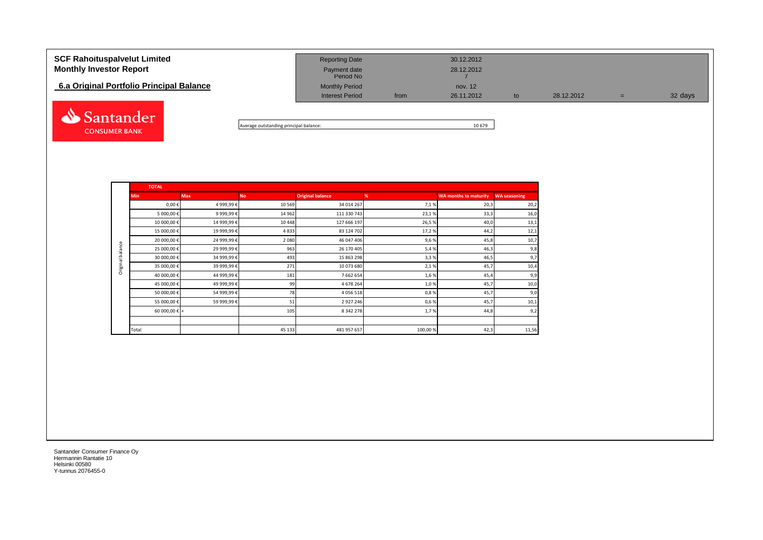| <b>SCF Rahoituspalvelut Limited</b><br><b>Monthly Investor Report</b><br>6.a Original Portfolio Principal Balance | <b>Reporting Date</b><br>Payment date<br>Period No<br><b>Monthly Period</b> |      | 30.12.2012<br>28.12.2012<br>nov. 12 |    |            |   |         |
|-------------------------------------------------------------------------------------------------------------------|-----------------------------------------------------------------------------|------|-------------------------------------|----|------------|---|---------|
|                                                                                                                   | <b>Interest Period</b>                                                      | from | 26.11.2012                          | to | 28.12.2012 | = | 32 days |
| Santander                                                                                                         |                                                                             |      |                                     |    |            |   |         |

Average outstanding principal balance: 10 679

|                  | <b>TOTAL</b>           |             |           |                         |         |                              |                     |
|------------------|------------------------|-------------|-----------|-------------------------|---------|------------------------------|---------------------|
|                  | <b>Min</b>             | <b>Max</b>  | <b>No</b> | <b>Original balance</b> | %       | <b>WA months to maturity</b> | <b>WA seasoning</b> |
|                  | $0,00 \in$             | 4 999,99€   | 10 5 69   | 34 014 267              | 7,1%    | 20,3                         | 20,2                |
|                  | 5 000,00 €             | 9 999,99€   | 14 962    | 111 330 743             | 23,1%   | 33,3                         | 16,0                |
|                  | 10 000,00 €            | 14 999,99 € | 10 4 48   | 127 666 197             | 26,5%   | 40,0                         | 13,1                |
|                  | 15 000,00 €            | 19 999,99€  | 4833      | 83 124 702              | 17,2%   | 44,2                         | 12,1                |
|                  | 20 000,00 €            | 24 999,99 € | 2 0 8 0   | 46 047 406              | 9,6%    | 45,8                         | 10,7                |
| Original balance | 25 000,00€             | 29 999,99€  | 963       | 26 170 405              | 5,4%    | 46,3                         | 9,8                 |
|                  | 30 000,00 €            | 34 999,99 € | 493       | 15 863 298              | 3,3%    | 46,5                         | 9,7                 |
|                  | 35 000,00 €            | 39 999,99 € | 271       | 10 073 680              | 2,1%    | 45,7                         | 10,4                |
|                  | 40 000,00€             | 44 999,99€  | 181       | 7 662 654               | 1,6%    | 45,4                         | 9,9                 |
|                  | 45 000,00 €            | 49 999,99€  | 99        | 4 678 264               | 1,0%    | 45,7                         | 10,0                |
|                  | 50 000,00 €            | 54 999,99€  | 78        | 4 0 5 6 5 1 8           | 0,8%    | 45,7                         | 9,0                 |
|                  | 55 000,00 €            | 59 999,99€  | 51        | 2 9 2 7 2 4 6           | 0,6%    | 45,7                         | 10,1                |
|                  | 60 000,00 $\epsilon$ + |             | 105       | 8 3 4 2 2 7 8           | 1,7%    | 44,8                         | 9,2                 |
|                  |                        |             |           |                         |         |                              |                     |
|                  | Total                  |             | 45 133    | 481 957 657             | 100,00% | 42,3                         | 11,56               |

Santander Consumer Finance Oy Hermannin Rantatie 10 Helsinki 00580 Y-tunnus 2076455-0

**CONSUMER BANK**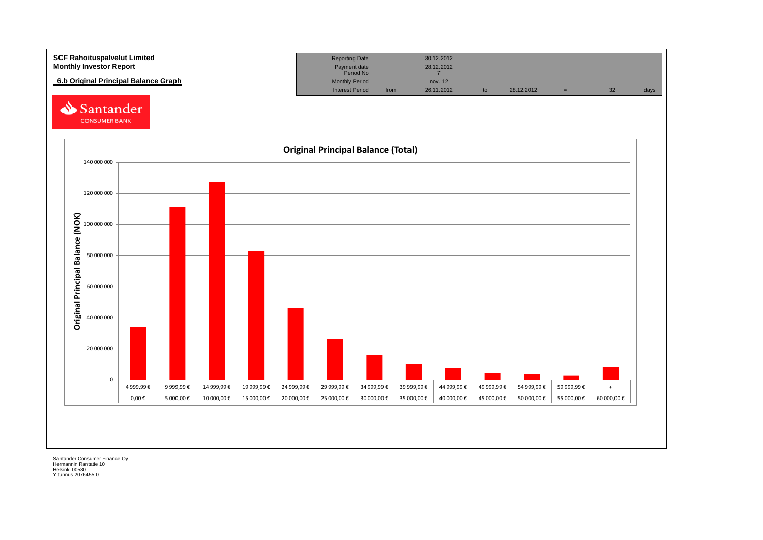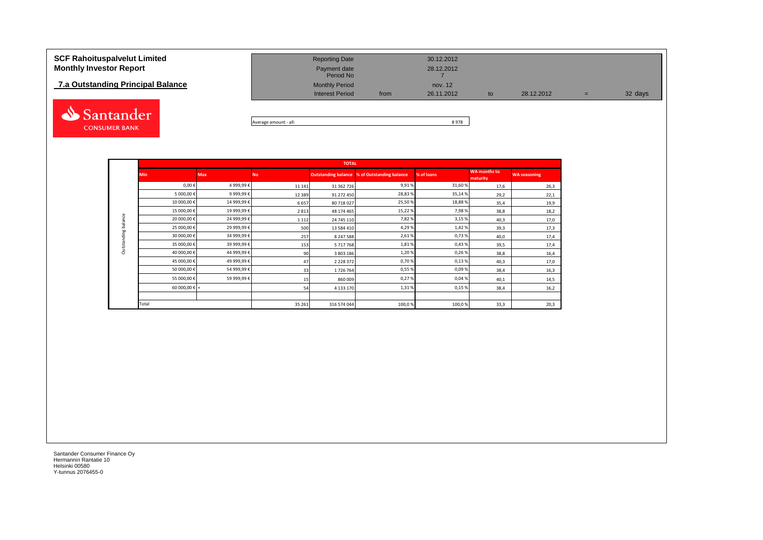# **7.a Outstanding Principal Balance.**



| <b>SCF Rahoituspalvelut Limited</b><br><b>Monthly Investor Report</b> | <b>Reporting Date</b><br>Payment date |      | 30.12.2012<br>28.12.2012 |    |            |     |         |
|-----------------------------------------------------------------------|---------------------------------------|------|--------------------------|----|------------|-----|---------|
|                                                                       | Period No                             |      |                          |    |            |     |         |
| 7.a Outstanding Principal Balance                                     | <b>Monthly Period</b>                 |      | nov. 12                  |    |            |     |         |
|                                                                       | <b>Interest Period</b>                | from | 26.11.2012               | to | 28.12.2012 | $=$ | 32 days |
|                                                                       |                                       |      |                          |    |            |     |         |

Average amount - all: 8 978

|                     |               |            |           | <b>TOTAL</b>  |                                                     |            |                                 |                     |
|---------------------|---------------|------------|-----------|---------------|-----------------------------------------------------|------------|---------------------------------|---------------------|
|                     | <b>Min</b>    | <b>Max</b> | <b>No</b> |               | <b>Outstanding balance % of Outstanding balance</b> | % of loans | <b>WA</b> months to<br>maturity | <b>WA seasoning</b> |
|                     | $0,00 \in$    | 4 999,99€  | 11 14 1   | 31 362 726    | 9,91%                                               | 31,60%     | 17,6                            | 26,3                |
|                     | 5 000,00€     | 9 999,99€  | 12 3 8 9  | 91 272 450    | 28,83%                                              | 35,14%     | 29,2                            | 22,1                |
|                     | 10 000,00€    | 14 999,99€ | 6657      | 80 718 027    | 25,50 %                                             | 18,88%     | 35,4                            | 19,9                |
|                     | 15 000,00€    | 19 999,99€ | 2813      | 48 174 465    | 15,22%                                              | 7,98%      | 38,8                            | 18,2                |
| Outstanding balance | 20 000,00€    | 24 999,99€ | 1 1 1 2   | 24 745 110    | 7,82%                                               | 3,15%      | 40,3                            | 17,0                |
|                     | 25 000,00€    | 29 999,99€ | 500       | 13 584 410    | 4,29%                                               | 1,42%      | 39,3                            | 17,3                |
|                     | 30 000,00 €   | 34 999,99€ | 257       | 8 247 588     | 2,61%                                               | 0,73%      | 40,0                            | 17,4                |
|                     | 35 000,00€    | 39 999,99€ | 153       | 5717768       | 1,81%                                               | 0,43%      | 39,5                            | 17,4                |
|                     | 40 000,00€    | 44 999,99€ | 90        | 3 803 186     | 1,20%                                               | 0,26%      | 38,8                            | 16,4                |
|                     | 45 000,00€    | 49 999,99€ | 47        | 2 2 2 8 3 7 2 | 0,70%                                               | 0,13%      | 40,3                            | 17,0                |
|                     | 50 000,00€    | 54 999,99€ | 33        | 1726764       | 0,55%                                               | 0,09%      | 38,4                            | 16,3                |
|                     | 55 000,00€    | 59 999,99€ | 15        | 860 009       | 0,27%                                               | 0,04%      | 40,1                            | 14,5                |
|                     | 60 000,00 € + |            | 54        | 4 133 170     | 1,31%                                               | 0,15%      | 38,4                            | 16,2                |
|                     |               |            |           |               |                                                     |            |                                 |                     |
|                     | Total         |            | 35 26 1   | 316 574 044   | 100,0%                                              | 100,0%     | 33,3                            | 20,3                |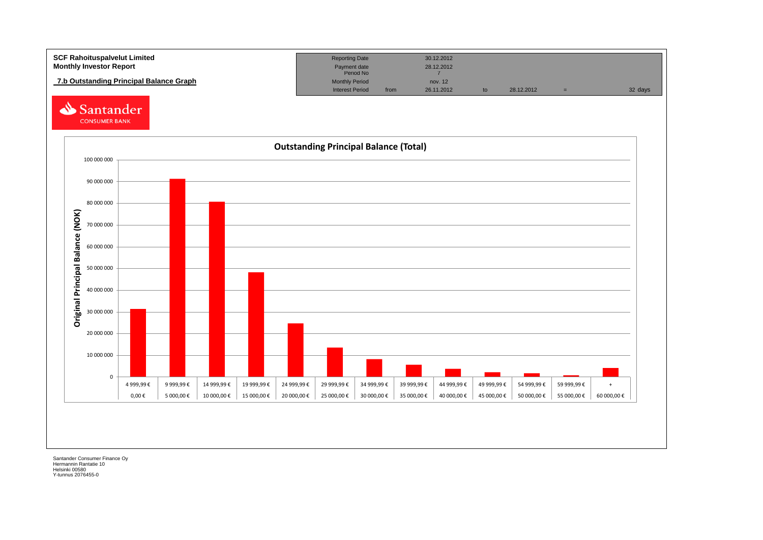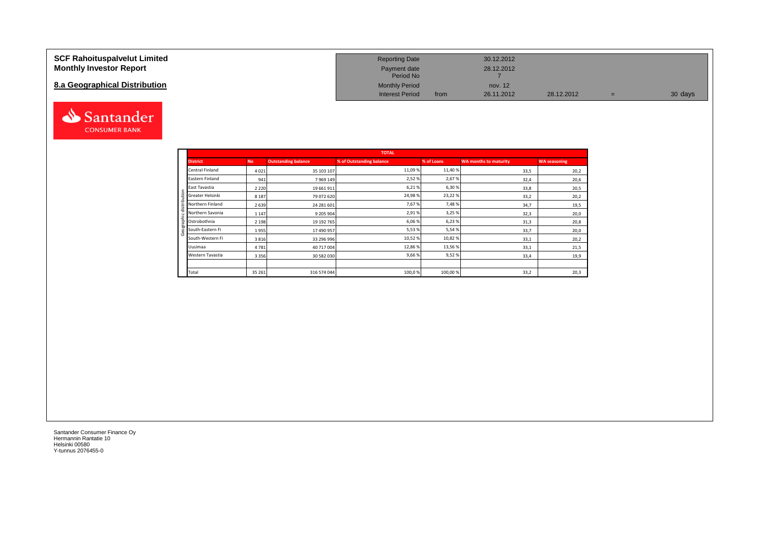#### **SCF Rahoituspalvelut Limited Monthly Investor Report**

### **8.a Geographical Distribution**



| <b>Reporting Date</b>     |      | 30.12.2012 |            |   |         |
|---------------------------|------|------------|------------|---|---------|
| Payment date<br>Period No |      | 28.12.2012 |            |   |         |
| <b>Monthly Period</b>     |      | nov. 12    |            |   |         |
| <b>Interest Period</b>    | from | 26.11.2012 | 28.12.2012 | = | 30 days |

|                       |           |                            | <b>TOTAL</b>             |            |                              |                     |
|-----------------------|-----------|----------------------------|--------------------------|------------|------------------------------|---------------------|
| <b>District</b>       | <b>No</b> | <b>Outstanding balance</b> | % of Outstanding balance | % of Loans | <b>WA months to maturity</b> | <b>WA seasoning</b> |
| Central Finland       | 4021      | 35 103 107                 | 11,09 %                  | 11,40%     | 33,5                         | 20,2                |
| Eastern Finland       | 941       | 7 9 69 149                 | 2,52%                    | 2,67%      | 32,4                         | 20,6                |
| East Tavastia         | 2 2 2 0   | 19 661 911                 | 6,21%                    | 6,30%      | 33,8                         | 20,5                |
| Greater Helsinki<br>₽ | 8 1 8 7   | 79 072 620                 | 24,98%                   | 23,22%     | 33,2                         | 20,2                |
| Northern Finland      | 2 6 3 9   | 24 281 601                 | 7,67%                    | 7,48%      | 34,7                         | 19,5                |
| Northern Savonia      | 1 1 4 7   | 9 205 904                  | 2,91%                    | 3,25 %     | 32,3                         | 20,0                |
| Ostrobothnia          | 2 1 9 8   | 19 192 765                 | 6,06%                    | 6,23%      | 31,3                         | 20,8                |
| South-Eastern Fi      | 1955      | 17 490 957                 | 5,53%                    | 5,54%      | 33,7                         | 20,0                |
| South-Western Fi      | 3816      | 33 296 996                 | 10,52%                   | 10,82%     | 33,1                         | 20,2                |
| Uusimaa               | 4781      | 40 717 004                 | 12,86 %                  | 13,56%     | 33,1                         | 21,5                |
| Western Tavastia      | 3 3 5 6   | 30 582 030                 | 9,66%                    | 9,52%      | 33,4                         | 19,9                |
|                       |           |                            |                          |            |                              |                     |
| Total                 | 35 261    | 316 574 044                | 100,0%                   | 100,00%    | 33,2                         | 20,3                |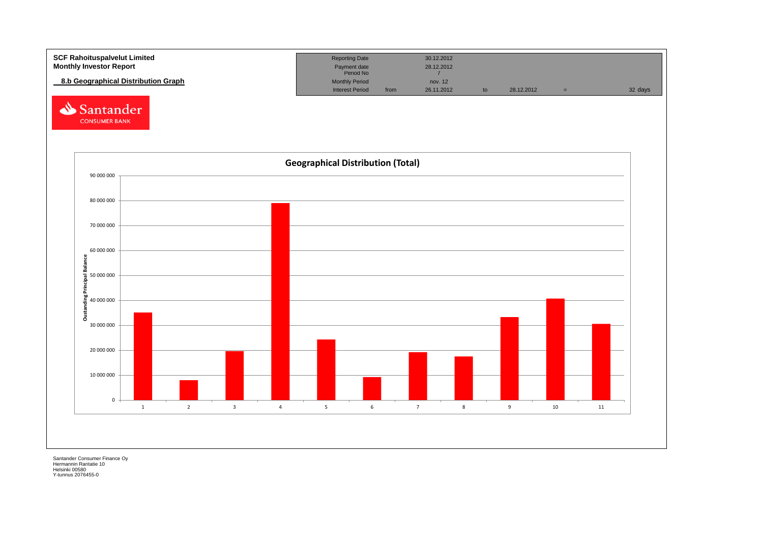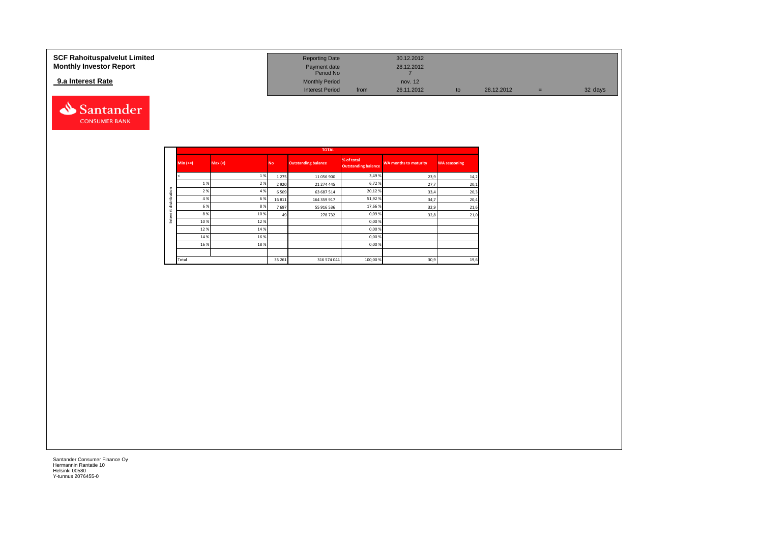### **9.a Interest Rate**



| SCF Rahoituspalvelut Limited   | <b>Reporting Date</b>     |      | 30.12.2012 |            |   |         |
|--------------------------------|---------------------------|------|------------|------------|---|---------|
| <b>Monthly Investor Report</b> | Payment date<br>Period No |      | 28.12.2012 |            |   |         |
| 9.a Interest Rate              | <b>Monthly Period</b>     |      | nov. 12    |            |   |         |
|                                | <b>Interest Period</b>    | from | 26.11.2012 | 28.12.2012 | ÷ | 32 days |

|              |            |        |           | <b>TOTAL</b>               |                                          |                              |                     |
|--------------|------------|--------|-----------|----------------------------|------------------------------------------|------------------------------|---------------------|
|              | $Min (>=)$ | Max(<) | <b>No</b> | <b>Outstanding balance</b> | % of total<br><b>Outstanding balance</b> | <b>WA months to maturity</b> | <b>WA seasoning</b> |
|              |            | 1%     | 1 2 7 5   | 11 056 900                 | 3,49%                                    | 23,9                         | 14,2                |
|              | 1 %        | 2 %    | 2920      | 21 274 445                 | 6,72%                                    | 27,7                         | 20,1                |
|              | 2%         | 4 %    | 6 5 0 9   | 63 687 514                 | 20,12%                                   | 33,4                         | 20,3                |
| distribution | 4 %        | 6%     | 16 8 11   | 164 359 917                | 51,92%                                   | 34,7                         | 20,4                |
|              | 6 %        | 8%     | 7697      | 55 916 536                 | 17,66%                                   | 32,9                         | 21,6                |
|              | 8%         | 10 %   | 49        | 278732                     | 0,09%                                    | 32,8                         | 21,0                |
|              | 10%        | 12%    |           |                            | 0,00 %                                   |                              |                     |
|              | 12%        | 14 %   |           |                            | 0,00%                                    |                              |                     |
|              | 14 %       | 16 %   |           |                            | 0,00%                                    |                              |                     |
|              | 16 %       | 18%    |           |                            | 0,00%                                    |                              |                     |
|              |            |        |           |                            |                                          |                              |                     |
|              | Total      |        | 35 26 1   | 316 574 044                | 100,00 %                                 | 30,9                         | 19,6                |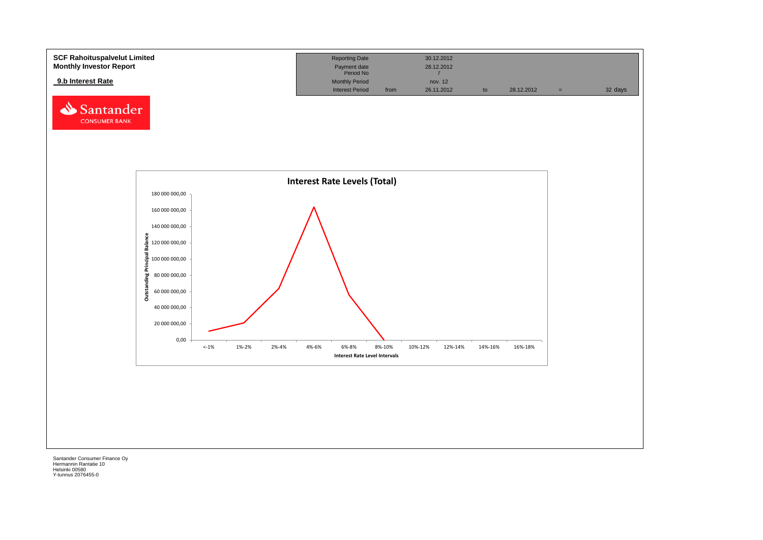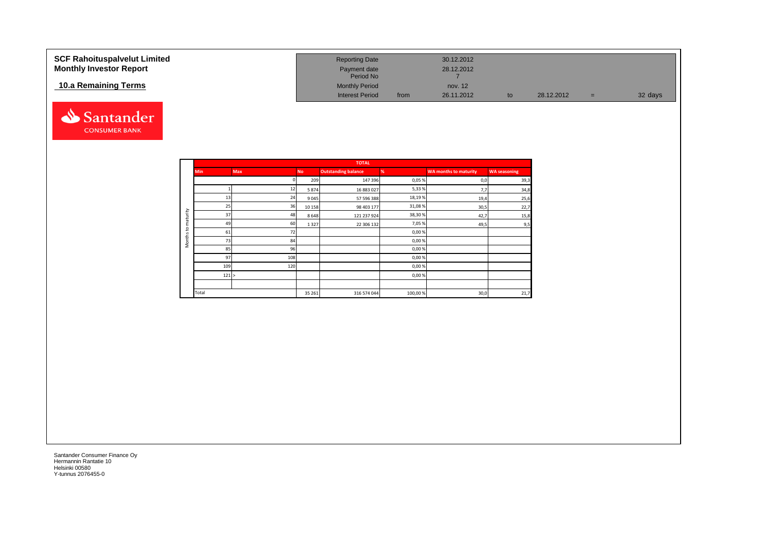| <b>SCF Rahoituspalvelut Limited</b><br><b>Monthly Investor Report</b> | <b>Reporting Date</b><br>Payment date<br>Period No |      | 30.12.2012<br>28.12.2012 |    |            |     |         |
|-----------------------------------------------------------------------|----------------------------------------------------|------|--------------------------|----|------------|-----|---------|
| 10.a Remaining Terms                                                  | <b>Monthly Period</b><br><b>Interest Period</b>    | from | nov. 12<br>26.11.2012    | to | 28.12.2012 | $=$ | 32 days |



|          |            |            |           | <b>TOTAL</b>               |         |                              |                     |
|----------|------------|------------|-----------|----------------------------|---------|------------------------------|---------------------|
|          | <b>Min</b> | <b>Max</b> | <b>No</b> | <b>Outstanding balance</b> | %       | <b>WA months to maturity</b> | <b>WA seasoning</b> |
|          |            |            | 209       | 147 396                    | 0,05%   | 0,0                          | 39,3                |
|          |            | 12         | 5874      | 16 883 027                 | 5,33%   | 7,7                          | 34,8                |
|          | 13         | 24         | 9045      | 57 596 388                 | 18,19%  | 19,4                         | 25,6                |
|          | 25         | 36         | 10 15 8   | 98 403 177                 | 31,08%  | 30,5                         | 22,7                |
| maturity | 37         | 48         | 8648      | 121 237 924                | 38,30%  | 42,7                         | 15,8                |
|          | 49         | 60         | 1327      | 22 306 132                 | 7,05%   | 49,5                         | 9,5                 |
| 5        | 61         | 72         |           |                            | 0,00%   |                              |                     |
| Months   | 73         | 84         |           |                            | 0,00%   |                              |                     |
|          | 85         | 96         |           |                            | 0,00%   |                              |                     |
|          | 97         | 108        |           |                            | 0,00%   |                              |                     |
|          | 109        | 120        |           |                            | 0,00%   |                              |                     |
|          | 121 >      |            |           |                            | 0,00%   |                              |                     |
|          |            |            |           |                            |         |                              |                     |
|          | Total      |            | 35 26 1   | 316 574 044                | 100,00% | 30,0                         | 21,7                |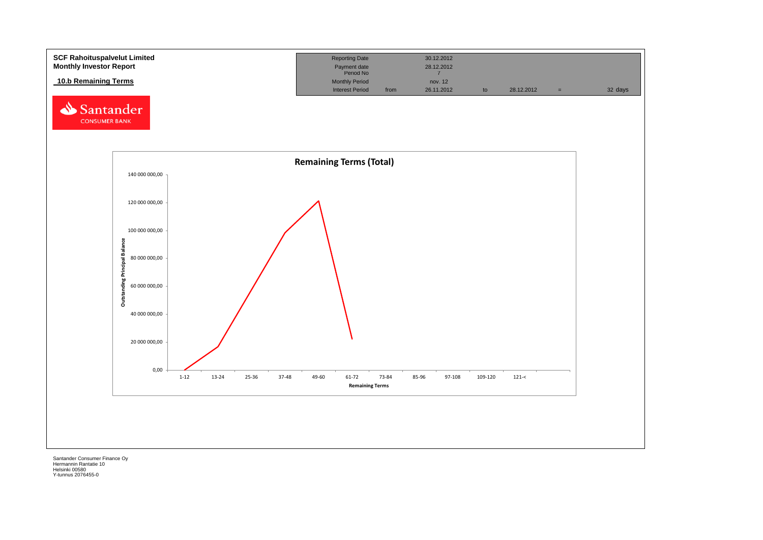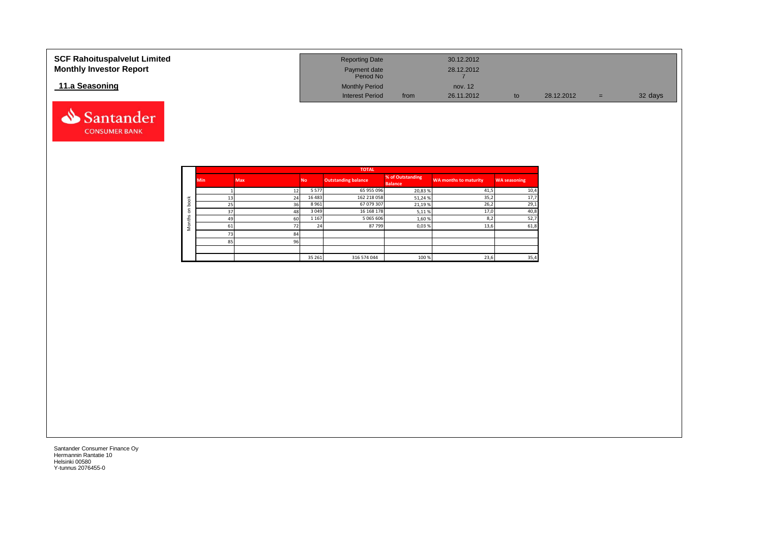| <b>SCF Rahoituspalvelut Limited</b><br><b>Monthly Investor Report</b> | <b>Reporting Date</b><br>Payment date<br>Period No |      | 30.12.2012<br>28.12.2012 |    |            |     |         |
|-----------------------------------------------------------------------|----------------------------------------------------|------|--------------------------|----|------------|-----|---------|
| 11.a Seasoning                                                        | <b>Monthly Period</b>                              |      | nov. 12                  |    |            |     |         |
|                                                                       | <b>Interest Period</b>                             | from | 26.11.2012               | to | 28.12.2012 | $=$ | 32 days |



Santander **CONSUMER BANK**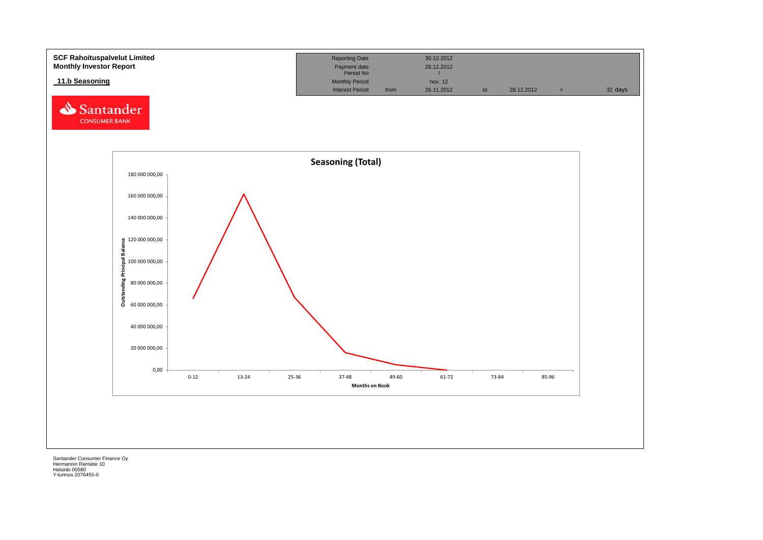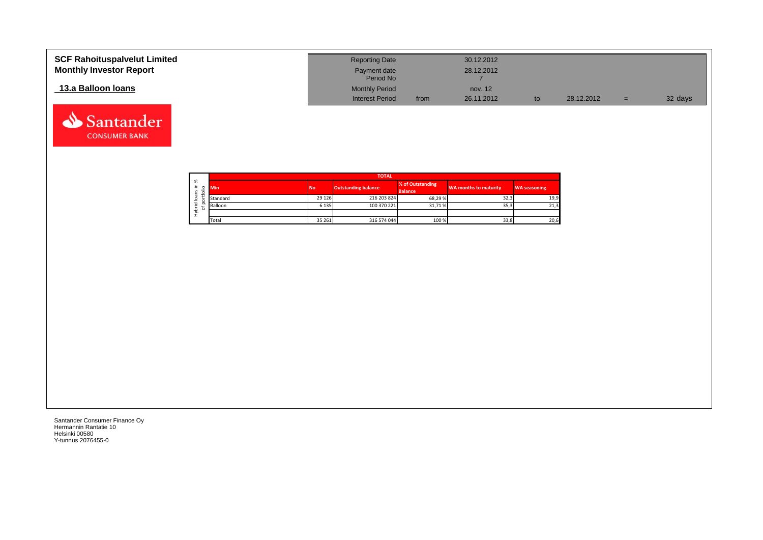| <b>SCF Rahoituspalvelut Limited</b><br><b>Monthly Investor Report</b> | <b>Reporting Date</b><br>Payment date |      | 30.12.2012<br>28.12.2012 |            |     |         |
|-----------------------------------------------------------------------|---------------------------------------|------|--------------------------|------------|-----|---------|
|                                                                       | Period No                             |      |                          |            |     |         |
| 13.a Balloon Ioans                                                    | <b>Monthly Period</b>                 |      | nov. 12                  |            |     |         |
|                                                                       | <b>Interest Period</b>                | from | 26.11.2012               | 28.12.2012 | $=$ | 32 days |

![](_page_19_Picture_1.jpeg)

Santander **CONSUMER BANK**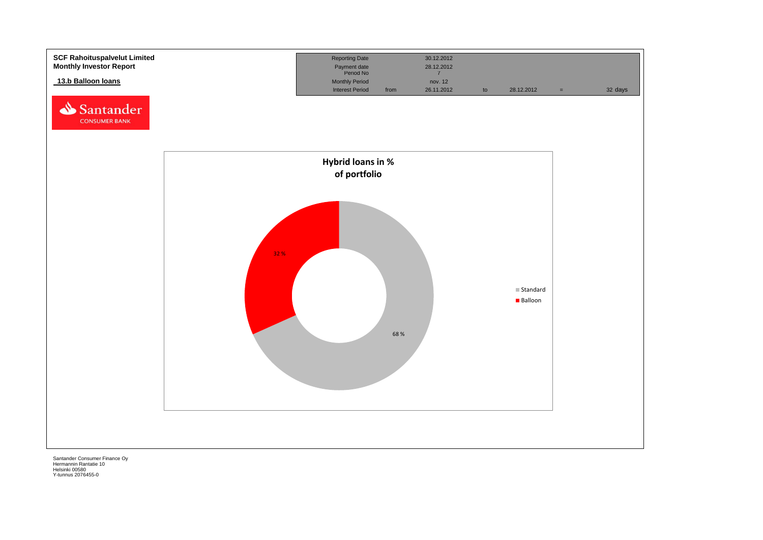![](_page_20_Figure_0.jpeg)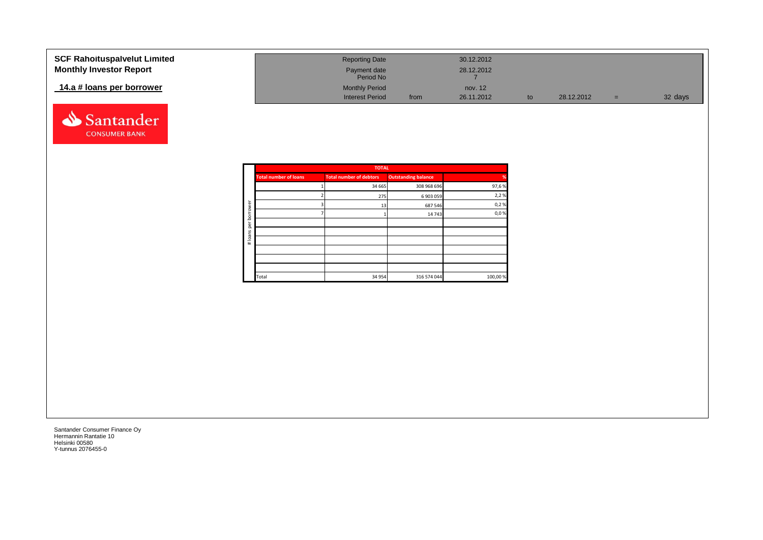| <b>SCF Rahoituspalvelut Limited</b> | <b>Reporting Date</b>     |      | 30.12.2012 |            |     |         |
|-------------------------------------|---------------------------|------|------------|------------|-----|---------|
| <b>Monthly Investor Report</b>      | Payment date<br>Period No |      | 28.12.2012 |            |     |         |
| 14.a # loans per borrower           | <b>Monthly Period</b>     |      | nov. 12    |            |     |         |
|                                     | <b>Interest Period</b>    | from | 26.11.2012 | 28.12.2012 | $=$ | 32 days |

![](_page_21_Picture_1.jpeg)

|          |                              | <b>TOTAL</b>                   |                            |          |
|----------|------------------------------|--------------------------------|----------------------------|----------|
|          | <b>Total number of loans</b> | <b>Total number of debtors</b> | <b>Outstanding balance</b> | %        |
|          |                              | 34 665                         | 308 968 696                | 97,6%    |
|          |                              | 275                            | 6 903 059                  | 2,2%     |
| ৯<br>row |                              | 13                             | 687 546                    | 0,2%     |
| bor      |                              |                                | 14 743                     | 0,0%     |
| per      |                              |                                |                            |          |
|          |                              |                                |                            |          |
| #loans   |                              |                                |                            |          |
|          |                              |                                |                            |          |
|          |                              |                                |                            |          |
|          |                              |                                |                            |          |
|          | Total                        | 34 954                         | 316 574 044                | 100,00 % |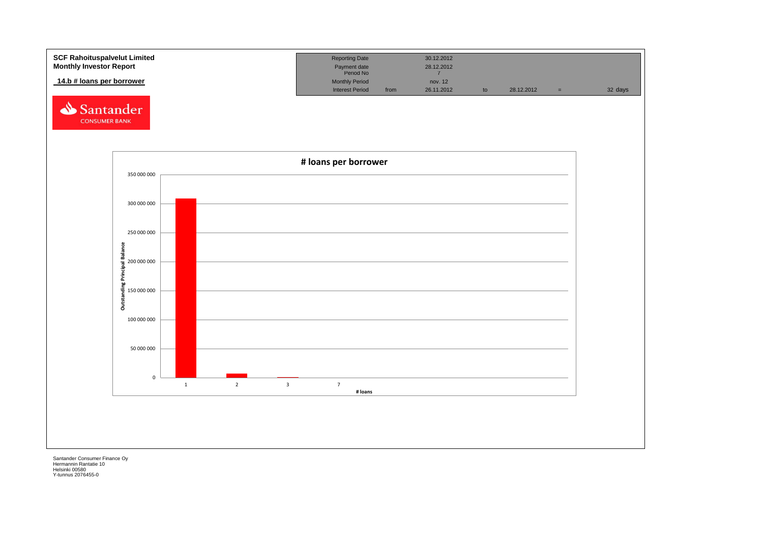![](_page_22_Figure_0.jpeg)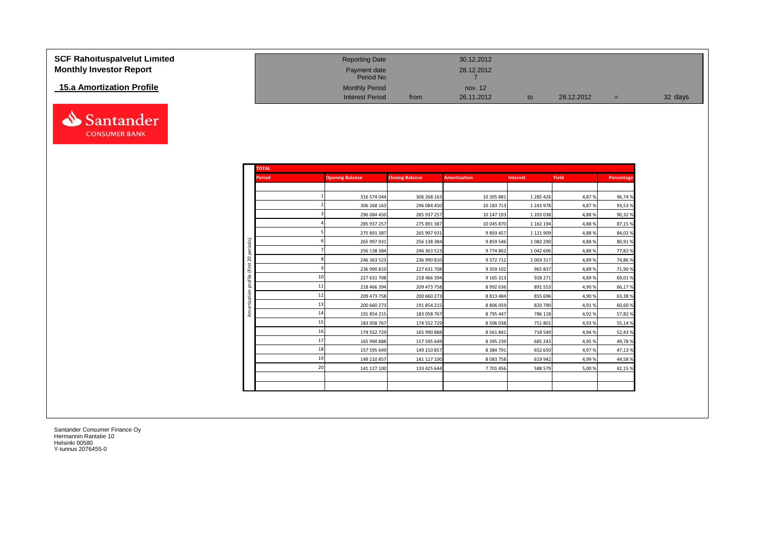| <b>SCF Rahoituspalvelut Limited</b> | <b>Reporting Date</b>     |      | 30.12.2012 |            |     |         |
|-------------------------------------|---------------------------|------|------------|------------|-----|---------|
| <b>Monthly Investor Report</b>      | Payment date<br>Period No |      | 28.12.2012 |            |     |         |
| 15.a Amortization Profile           | <b>Monthly Period</b>     |      | nov. 12    |            |     |         |
|                                     | <b>Interest Period</b>    | from | 26.11.2012 | 28.12.2012 | $=$ | 32 days |

![](_page_23_Picture_1.jpeg)

|              | <b>TOTAL</b>  |                        |                        |                     |                 |        |            |
|--------------|---------------|------------------------|------------------------|---------------------|-----------------|--------|------------|
|              | <b>Period</b> | <b>Opening Balance</b> | <b>Closing Balance</b> | <b>Amortization</b> | <b>Interest</b> | Yield  | Percentage |
|              |               |                        |                        |                     |                 |        |            |
|              |               | 316 574 044            | 306 268 163            | 10 305 881          | 1 285 426       | 4,87%  | 96,74%     |
|              |               | 306 268 163            | 296 084 450            | 10 183 713          | 1 243 978       | 4,87%  | 93,53%     |
|              |               | 296 084 450            | 285 937 257            | 10 147 193          | 1 203 038       | 4,88%  | 90,32%     |
|              |               | 285 937 257            | 275 891 387            | 10 045 870          | 1 162 194       | 4,88%  | 87,15%     |
|              |               | 275 891 387            | 265 997 931            | 9893457             | 1 1 2 1 9 0 9   | 4,88%  | 84,02%     |
|              |               | 265 997 931            | 256 138 384            | 9859546             | 1 082 290       | 4,88%  | 80,91%     |
|              |               | 256 138 384            | 246 363 523            | 9774862             | 1 042 606       | 4,88%  | 77,82%     |
|              |               | 246 363 523            | 236 990 810            | 9 372 712           | 1 003 317       | 4,89%  | 74,86%     |
|              |               | 236 990 810            | 227 631 708            | 9 3 5 9 1 0 2       | 965 837         | 4,89%  | 71,90%     |
|              | 10            | 227 631 708            | 218 466 394            | 9 1 6 5 3 1 3       | 928 271         | 4,89%  | 69,01%     |
|              | 11            | 218 466 394            | 209 473 758            | 8 9 9 2 6 3 6       | 891 553         | 4,90 % | 66,17%     |
|              | 12            | 209 473 758            | 200 660 273            | 8 8 1 3 4 8 4       | 855 696         | 4,90%  | 63,38%     |
| Amortization | 13            | 200 660 273            | 191 854 215            | 8806059             | 820 790         | 4,91%  | 60,60%     |
|              | 14            | 191 854 215            | 183 058 767            | 8795447             | 786 118         | 4,92%  | 57,82%     |
|              | 15            | 183 058 767            | 174 552 729            | 8 506 038           | 751 801         | 4,93%  | 55,14%     |
|              | 16            | 174 552 729            | 165 990 888            | 8 5 6 1 8 4 1       | 718 549         | 4,94%  | 52,43%     |
|              | 17            | 165 990 888            | 157 595 649            | 8 3 9 5 2 3 9       | 685 243         | 4,95 % | 49,78%     |
|              | 18            | 157 595 649            | 149 210 857            | 8 3 8 4 7 9 1       | 652 650         | 4,97%  | 47,13%     |
|              | 19            | 149 210 857            | 141 127 100            | 8083758             | 619 942         | 4,99%  | 44,58%     |
|              | 20            | 141 127 100            | 133 425 644            | 7701456             | 588 579         | 5,00 % | 42,15%     |
|              |               |                        |                        |                     |                 |        |            |
|              |               |                        |                        |                     |                 |        |            |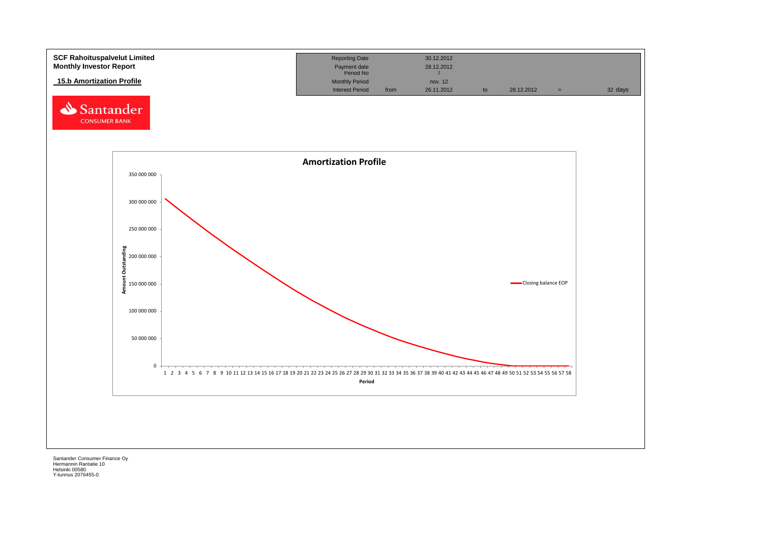![](_page_24_Figure_0.jpeg)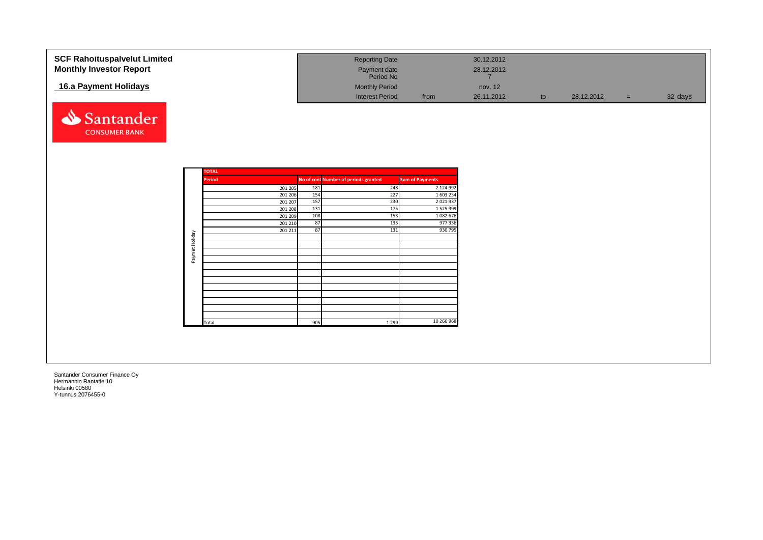| <b>SCF Rahoituspalvelut Limited</b> |                |               |     | <b>Reporting Date</b>                |                        | 30.12.2012 |    |            |     |         |
|-------------------------------------|----------------|---------------|-----|--------------------------------------|------------------------|------------|----|------------|-----|---------|
| <b>Monthly Investor Report</b>      |                |               |     | Payment date                         |                        | 28.12.2012 |    |            |     |         |
|                                     |                |               |     | Period No                            |                        |            |    |            |     |         |
|                                     |                |               |     |                                      |                        |            |    |            |     |         |
| 16.a Payment Holidays               |                |               |     | <b>Monthly Period</b>                |                        | nov. 12    |    |            |     |         |
|                                     |                |               |     | <b>Interest Period</b>               | from                   | 26.11.2012 | to | 28.12.2012 | $=$ | 32 days |
|                                     |                |               |     |                                      |                        |            |    |            |     |         |
| Santander                           |                |               |     |                                      |                        |            |    |            |     |         |
|                                     |                |               |     |                                      |                        |            |    |            |     |         |
| <b>CONSUMER BANK</b>                |                |               |     |                                      |                        |            |    |            |     |         |
|                                     |                |               |     |                                      |                        |            |    |            |     |         |
|                                     |                |               |     |                                      |                        |            |    |            |     |         |
|                                     |                |               |     |                                      |                        |            |    |            |     |         |
|                                     |                |               |     |                                      |                        |            |    |            |     |         |
|                                     |                | <b>TOTAL</b>  |     |                                      |                        |            |    |            |     |         |
|                                     |                | <b>Period</b> |     | No of cont Number of periods granted | <b>Sum of Payments</b> |            |    |            |     |         |
|                                     |                | 201 205       | 181 | 248                                  | 2 124 992              |            |    |            |     |         |
|                                     |                | 201 206       | 154 | 227                                  | 1 603 234              |            |    |            |     |         |
|                                     |                | 201 207       | 157 | 230                                  | 2 0 2 1 9 3 7          |            |    |            |     |         |
|                                     |                | 201 208       | 131 | 175                                  | 1 5 2 5 9 9 9          |            |    |            |     |         |
|                                     |                | 201 209       | 108 | 153                                  | 1082676                |            |    |            |     |         |
|                                     |                | 201 210       | 87  | 135                                  | 977 336                |            |    |            |     |         |
|                                     |                | 201 211       | 87  | 131                                  | 930 795                |            |    |            |     |         |
|                                     |                |               |     |                                      |                        |            |    |            |     |         |
|                                     | Paymet Holiday |               |     |                                      |                        |            |    |            |     |         |
|                                     |                |               |     |                                      |                        |            |    |            |     |         |
|                                     |                |               |     |                                      |                        |            |    |            |     |         |
|                                     |                |               |     |                                      |                        |            |    |            |     |         |
|                                     |                |               |     |                                      |                        |            |    |            |     |         |
|                                     |                |               |     |                                      |                        |            |    |            |     |         |
|                                     |                |               |     |                                      |                        |            |    |            |     |         |
|                                     |                |               |     |                                      |                        |            |    |            |     |         |
|                                     |                |               |     |                                      |                        |            |    |            |     |         |
|                                     |                | Total         | 905 | 1 2 9 9                              | 10 266 968             |            |    |            |     |         |
|                                     |                |               |     |                                      |                        |            |    |            |     |         |
|                                     |                |               |     |                                      |                        |            |    |            |     |         |
|                                     |                |               |     |                                      |                        |            |    |            |     |         |
|                                     |                |               |     |                                      |                        |            |    |            |     |         |
|                                     |                |               |     |                                      |                        |            |    |            |     |         |
|                                     |                |               |     |                                      |                        |            |    |            |     |         |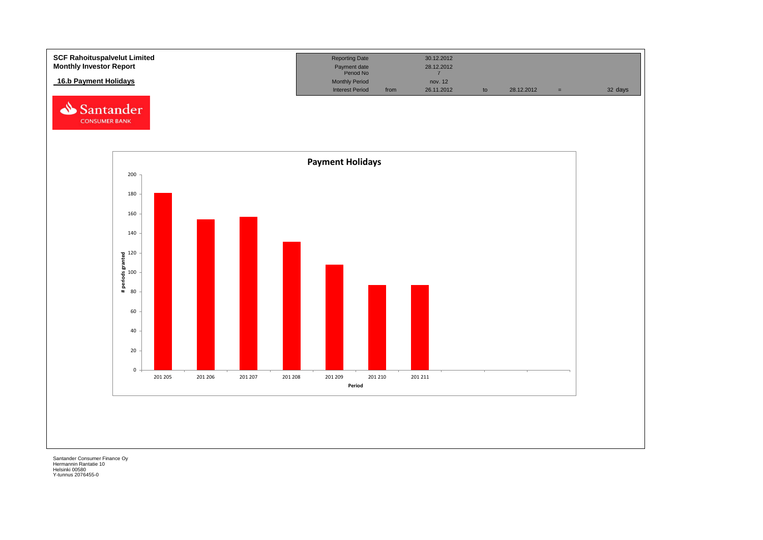![](_page_26_Figure_0.jpeg)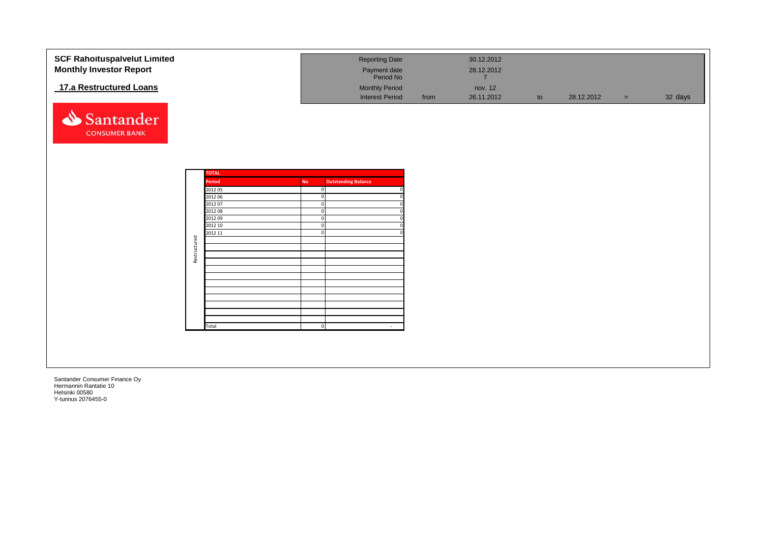| <b>SCF Rahoituspalvelut Limited</b><br><b>Monthly Investor Report</b> |              |                        |              | <b>Reporting Date</b><br>Payment date                        |      | 30.12.2012<br>28.12.2012                |    |            |          |         |
|-----------------------------------------------------------------------|--------------|------------------------|--------------|--------------------------------------------------------------|------|-----------------------------------------|----|------------|----------|---------|
| 17.a Restructured Loans                                               |              |                        |              | Period No<br><b>Monthly Period</b><br><b>Interest Period</b> | from | $\overline{7}$<br>nov. 12<br>26.11.2012 | to | 28.12.2012 | $\equiv$ | 32 days |
| Santander                                                             |              |                        |              |                                                              |      |                                         |    |            |          |         |
| <b>CONSUMER BANK</b>                                                  |              |                        |              |                                                              |      |                                         |    |            |          |         |
|                                                                       |              |                        |              |                                                              |      |                                         |    |            |          |         |
|                                                                       |              | <b>TOTAL</b><br>Period | <b>No</b>    | <b>Outstanding Balance</b>                                   |      |                                         |    |            |          |         |
|                                                                       |              | 2012 05                | $\mathbf{0}$ |                                                              |      |                                         |    |            |          |         |
|                                                                       |              | 2012 06                |              |                                                              |      |                                         |    |            |          |         |
|                                                                       |              | 2012 07                | $\mathbf 0$  |                                                              |      |                                         |    |            |          |         |
|                                                                       |              | 2012 08                | $\mathbf{0}$ |                                                              |      |                                         |    |            |          |         |
|                                                                       |              | 2012 09                | $\Omega$     |                                                              |      |                                         |    |            |          |         |
|                                                                       |              | 2012 10                | $\mathbf 0$  |                                                              |      |                                         |    |            |          |         |
|                                                                       |              | 2012 11                | $\mathbf{0}$ |                                                              |      |                                         |    |            |          |         |
|                                                                       | Restructured |                        |              |                                                              |      |                                         |    |            |          |         |
|                                                                       |              |                        |              |                                                              |      |                                         |    |            |          |         |
|                                                                       |              |                        |              |                                                              |      |                                         |    |            |          |         |
|                                                                       |              |                        |              |                                                              |      |                                         |    |            |          |         |
|                                                                       |              |                        |              |                                                              |      |                                         |    |            |          |         |
|                                                                       |              |                        |              |                                                              |      |                                         |    |            |          |         |
|                                                                       |              |                        |              |                                                              |      |                                         |    |            |          |         |
|                                                                       |              |                        |              |                                                              |      |                                         |    |            |          |         |
|                                                                       |              |                        |              |                                                              |      |                                         |    |            |          |         |
|                                                                       |              |                        |              |                                                              |      |                                         |    |            |          |         |
|                                                                       |              | Total                  | $\mathbf{0}$ | $\sim$                                                       |      |                                         |    |            |          |         |
|                                                                       |              |                        |              |                                                              |      |                                         |    |            |          |         |
|                                                                       |              |                        |              |                                                              |      |                                         |    |            |          |         |
|                                                                       |              |                        |              |                                                              |      |                                         |    |            |          |         |
|                                                                       |              |                        |              |                                                              |      |                                         |    |            |          |         |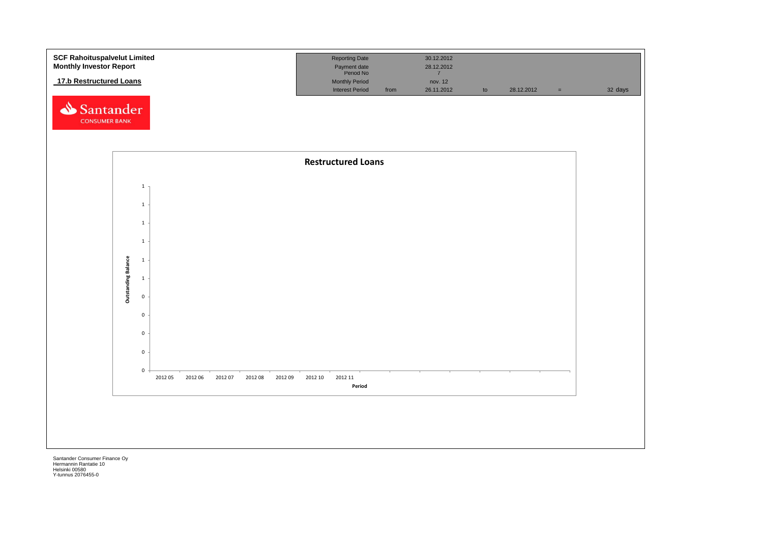![](_page_28_Figure_0.jpeg)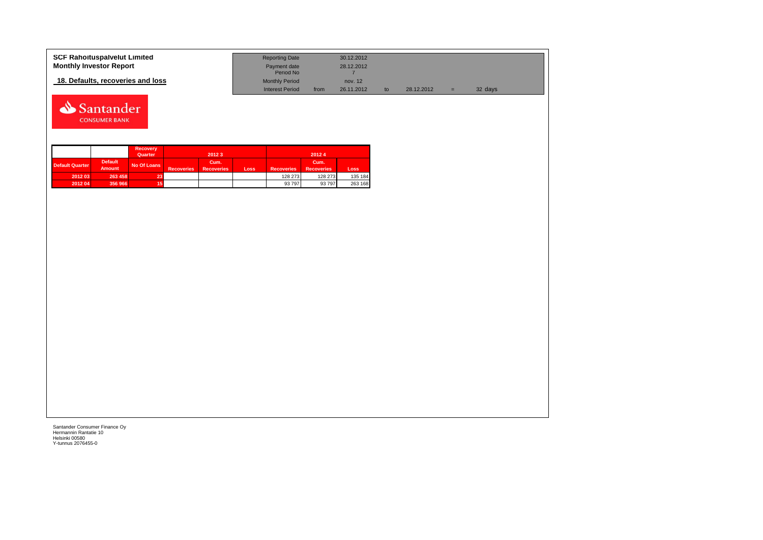| <b>SCF Rahoituspalvelut Limited</b> | <b>Reporting Date</b>     |      | 30.12.2012 |            |   |         |  |
|-------------------------------------|---------------------------|------|------------|------------|---|---------|--|
| <b>Monthly Investor Report</b>      | Payment date<br>Period No |      | 28.12.2012 |            |   |         |  |
| 18. Defaults, recoveries and loss   | <b>Monthly Period</b>     |      | nov. 12    |            |   |         |  |
|                                     | <b>Interest Period</b>    | from | 26.11.2012 | 28.12.2012 | = | 32 days |  |

![](_page_29_Picture_1.jpeg)

|                        |                                 | <b>Recovery</b><br>Quarter |                   | 2012 3                    |      |                   | 20124                     |         |
|------------------------|---------------------------------|----------------------------|-------------------|---------------------------|------|-------------------|---------------------------|---------|
| <b>Default Quarter</b> | <b>Default</b><br><b>Amount</b> | No Of Loans                | <b>Recoveries</b> | Cum.<br><b>Recoveries</b> | Loss | <b>Recoveries</b> | Cum.<br><b>Recoveries</b> | Loss    |
| 2012 03                | 263 458                         | 23 <sup>1</sup>            |                   |                           |      | 128 273           | 128 273                   | 135 184 |
| 2012 04                | 356 966                         | 15                         |                   |                           |      | 93 797            | 93 797                    | 263 168 |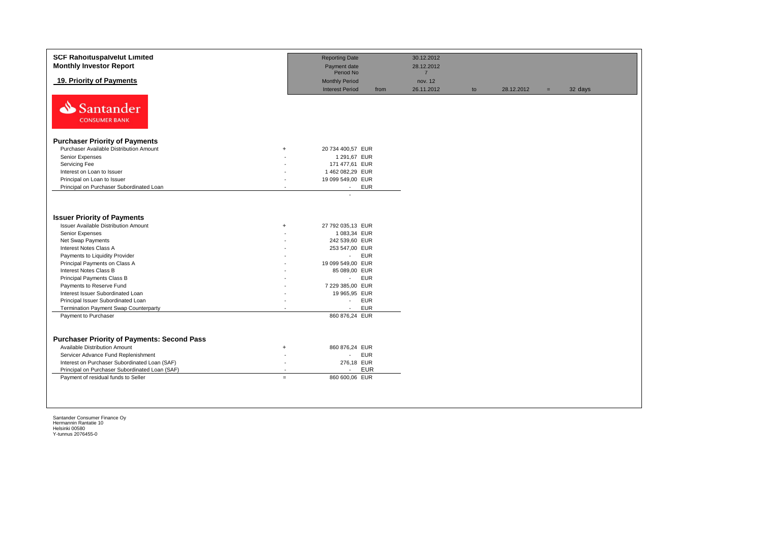| <b>SCF Rahoituspalvelut Limited</b><br><b>Monthly Investor Report</b>                                                                                                                                                                                                |                            | <b>Reporting Date</b><br>Payment date                                                                             |      | 30.12.2012<br>28.12.2012 |    |            |     |         |
|----------------------------------------------------------------------------------------------------------------------------------------------------------------------------------------------------------------------------------------------------------------------|----------------------------|-------------------------------------------------------------------------------------------------------------------|------|--------------------------|----|------------|-----|---------|
|                                                                                                                                                                                                                                                                      |                            | Period No                                                                                                         |      | $\overline{7}$           |    |            |     |         |
| 19. Priority of Payments                                                                                                                                                                                                                                             |                            | <b>Monthly Period</b><br><b>Interest Period</b>                                                                   | from | nov. 12<br>26.11.2012    | to | 28.12.2012 | $=$ | 32 days |
| Santander<br><b>CONSUMER BANK</b>                                                                                                                                                                                                                                    |                            |                                                                                                                   |      |                          |    |            |     |         |
| <b>Purchaser Priority of Payments</b>                                                                                                                                                                                                                                |                            |                                                                                                                   |      |                          |    |            |     |         |
| Purchaser Available Distribution Amount                                                                                                                                                                                                                              | $\ddot{}$                  | 20 734 400,57 EUR                                                                                                 |      |                          |    |            |     |         |
| Senior Expenses                                                                                                                                                                                                                                                      |                            | 1 291,67 EUR                                                                                                      |      |                          |    |            |     |         |
| Servicing Fee                                                                                                                                                                                                                                                        |                            | 171 477,61 EUR                                                                                                    |      |                          |    |            |     |         |
| Interest on Loan to Issuer                                                                                                                                                                                                                                           |                            | 1462 082,29 EUR                                                                                                   |      |                          |    |            |     |         |
| Principal on Loan to Issuer                                                                                                                                                                                                                                          |                            | 19 099 549,00 EUR                                                                                                 |      |                          |    |            |     |         |
| Principal on Purchaser Subordinated Loan                                                                                                                                                                                                                             |                            | <b>EUR</b><br>$\sim$                                                                                              |      |                          |    |            |     |         |
| <b>Issuer Priority of Payments</b><br><b>Issuer Available Distribution Amount</b><br>Senior Expenses<br>Net Swap Payments<br>Interest Notes Class A<br>Payments to Liquidity Provider<br>Principal Payments on Class A                                               | $\ddot{}$                  | 27 792 035,13 EUR<br>1 083,34 EUR<br>242 539,60 EUR<br>253 547,00 EUR<br>- EUR<br>19 099 549,00 EUR               |      |                          |    |            |     |         |
| Interest Notes Class B                                                                                                                                                                                                                                               |                            | 85 089,00 EUR                                                                                                     |      |                          |    |            |     |         |
| Principal Payments Class B                                                                                                                                                                                                                                           |                            | - EUR                                                                                                             |      |                          |    |            |     |         |
| Payments to Reserve Fund                                                                                                                                                                                                                                             |                            | 7 229 385,00 EUR                                                                                                  |      |                          |    |            |     |         |
| Interest Issuer Subordinated Loan                                                                                                                                                                                                                                    |                            | 19 965,95 EUR                                                                                                     |      |                          |    |            |     |         |
| Principal Issuer Subordinated Loan                                                                                                                                                                                                                                   |                            | <b>EUR</b><br>$\sim$                                                                                              |      |                          |    |            |     |         |
| Termination Payment Swap Counterparty                                                                                                                                                                                                                                |                            | <b>EUR</b><br>$\sim$                                                                                              |      |                          |    |            |     |         |
| Payment to Purchaser                                                                                                                                                                                                                                                 |                            | 860 876,24 EUR                                                                                                    |      |                          |    |            |     |         |
| <b>Purchaser Priority of Payments: Second Pass</b><br>Available Distribution Amount<br>Servicer Advance Fund Replenishment<br>Interest on Purchaser Subordinated Loan (SAF)<br>Principal on Purchaser Subordinated Loan (SAF)<br>Payment of residual funds to Seller | $\ddot{}$<br>$\sim$<br>$=$ | 860 876,24 EUR<br><b>EUR</b><br>$\mathcal{L}^{\pm}$<br>276,18 EUR<br><b>EUR</b><br>$\mathbf{r}$<br>860 600,06 EUR |      |                          |    |            |     |         |
|                                                                                                                                                                                                                                                                      |                            |                                                                                                                   |      |                          |    |            |     |         |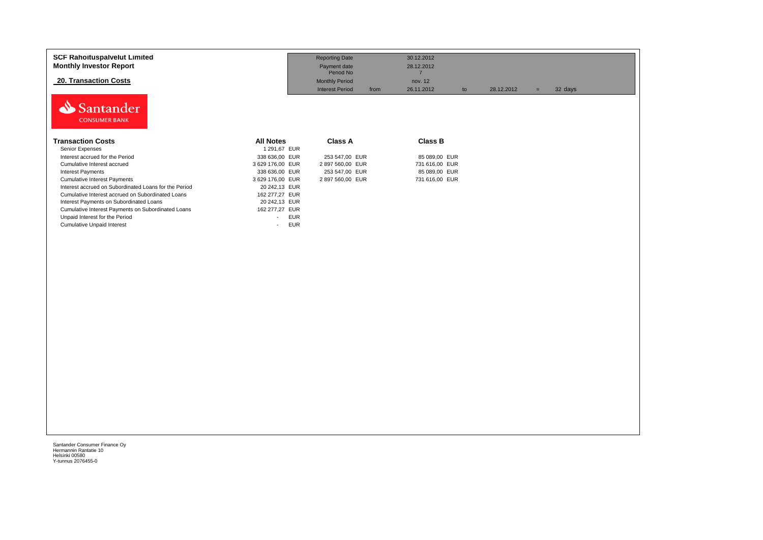| <b>SCF Rahoituspalvelut Limited</b><br><b>Monthly Investor Report</b> |                                 | <b>Reporting Date</b><br>Payment date<br>Period No | 30.12.2012<br>28.12.2012<br>7 |            |                |
|-----------------------------------------------------------------------|---------------------------------|----------------------------------------------------|-------------------------------|------------|----------------|
| 20. Transaction Costs                                                 |                                 | <b>Monthly Period</b>                              | nov. 12                       |            |                |
|                                                                       |                                 | <b>Interest Period</b><br>from                     | 26.11.2012<br>to              | 28.12.2012 | 32 days<br>$=$ |
| Santander<br><b>CONSUMER BANK</b>                                     |                                 |                                                    |                               |            |                |
| <b>Transaction Costs</b>                                              | <b>All Notes</b>                | Class A                                            | <b>Class B</b>                |            |                |
| Senior Expenses                                                       | 1 291,67 EUR                    |                                                    |                               |            |                |
| Interest accrued for the Period                                       | 338 636,00 EUR                  | 253 547,00 EUR                                     | 85 089,00 EUR                 |            |                |
| Cumulative Interest accrued                                           | 3 629 176.00 EUR                | 2897 560,00 EUR                                    | 731 616.00 EUR                |            |                |
| <b>Interest Payments</b>                                              | 338 636,00 EUR                  | 253 547,00 EUR                                     | 85 089,00 EUR                 |            |                |
| <b>Cumulative Interest Payments</b>                                   | 3 629 176,00 EUR                | 2 897 560,00 EUR                                   | 731 616,00 EUR                |            |                |
| Interest accrued on Subordinated Loans for the Period                 | 20 242,13 EUR                   |                                                    |                               |            |                |
| Cumulative Interest accrued on Subordinated Loans                     | 162 277.27 EUR                  |                                                    |                               |            |                |
| Interest Payments on Subordinated Loans                               | 20 242,13 EUR                   |                                                    |                               |            |                |
| Cumulative Interest Payments on Subordinated Loans                    | 162 277,27 EUR                  |                                                    |                               |            |                |
| Unpaid Interest for the Period                                        | <b>EUR</b><br>$\blacksquare$    |                                                    |                               |            |                |
| <b>Cumulative Unpaid Interest</b>                                     | EUR<br>$\overline{\phantom{a}}$ |                                                    |                               |            |                |
|                                                                       |                                 |                                                    |                               |            |                |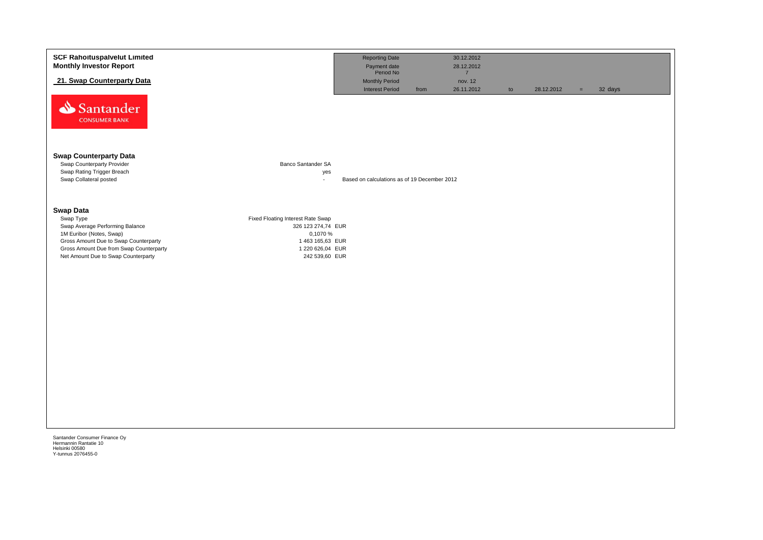| <b>SCF Rahoituspalvelut Limited</b><br><b>Monthly Investor Report</b>             | <b>Reporting Date</b><br>30.12.2012<br>Payment date<br>Period No<br>28.12.2012                                                           |
|-----------------------------------------------------------------------------------|------------------------------------------------------------------------------------------------------------------------------------------|
| 21. Swap Counterparty Data                                                        | $\overline{7}$<br><b>Monthly Period</b><br>nov. 12<br><b>Interest Period</b><br>26.11.2012<br>32 days<br>from<br>28.12.2012<br>to<br>$=$ |
| Santander<br><b>CONSUMER BANK</b>                                                 |                                                                                                                                          |
| <b>Swap Counterparty Data</b><br>Banco Santander SA<br>Swap Counterparty Provider |                                                                                                                                          |
| Swap Rating Trigger Breach<br>Swap Collateral posted                              | yes<br>Based on calculations as of 19 December 2012<br>$\mathbf{r}$                                                                      |
| <b>Swap Data</b><br>Swap Type<br>Fixed Floating Interest Rate Swap                |                                                                                                                                          |
| Swap Average Performing Balance<br>1M Euribor (Notes, Swap)                       | 326 123 274,74 EUR<br>0,1070 %                                                                                                           |
| Gross Amount Due to Swap Counterparty<br>Gross Amount Due from Swap Counterparty  | 1 463 165,63 EUR<br>1 220 626,04 EUR                                                                                                     |
| Net Amount Due to Swap Counterparty                                               | 242 539,60 EUR                                                                                                                           |
|                                                                                   |                                                                                                                                          |
|                                                                                   |                                                                                                                                          |
|                                                                                   |                                                                                                                                          |
|                                                                                   |                                                                                                                                          |
|                                                                                   |                                                                                                                                          |
|                                                                                   |                                                                                                                                          |
|                                                                                   |                                                                                                                                          |
|                                                                                   |                                                                                                                                          |
|                                                                                   |                                                                                                                                          |
|                                                                                   |                                                                                                                                          |
|                                                                                   |                                                                                                                                          |
| Santander Consumer Finance Oy                                                     |                                                                                                                                          |
| Hermannin Rantatie 10<br>Helsinki 00580<br>Y-tunnus 2076455-0                     |                                                                                                                                          |